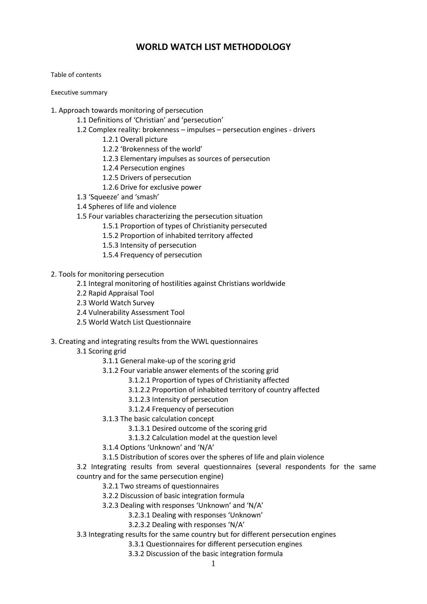# **WORLD WATCH LIST METHODOLOGY**

Table of contents

Executive summary

- 1. Approach towards monitoring of persecution
	- 1.1 Definitions of 'Christian' and 'persecution'
	- 1.2 Complex reality: brokenness impulses persecution engines drivers
		- 1.2.1 Overall picture
		- 1.2.2 'Brokenness of the world'
		- 1.2.3 Elementary impulses as sources of persecution
		- 1.2.4 Persecution engines
		- 1.2.5 Drivers of persecution
		- 1.2.6 Drive for exclusive power
	- 1.3 'Squeeze' and 'smash'
	- 1.4 Spheres of life and violence
	- 1.5 Four variables characterizing the persecution situation
		- 1.5.1 Proportion of types of Christianity persecuted
		- 1.5.2 Proportion of inhabited territory affected
		- 1.5.3 Intensity of persecution
		- 1.5.4 Frequency of persecution
- 2. Tools for monitoring persecution
	- 2.1 Integral monitoring of hostilities against Christians worldwide
	- 2.2 Rapid Appraisal Tool
	- 2.3 World Watch Survey
	- 2.4 Vulnerability Assessment Tool
	- 2.5 World Watch List Questionnaire
- 3. Creating and integrating results from the WWL questionnaires
	- 3.1 Scoring grid
		- 3.1.1 General make-up of the scoring grid
		- 3.1.2 Four variable answer elements of the scoring grid
			- 3.1.2.1 Proportion of types of Christianity affected
			- 3.1.2.2 Proportion of inhabited territory of country affected
			- 3.1.2.3 Intensity of persecution
			- 3.1.2.4 Frequency of persecution
		- 3.1.3 The basic calculation concept
			- 3.1.3.1 Desired outcome of the scoring grid
			- 3.1.3.2 Calculation model at the question level
		- 3.1.4 Options 'Unknown' and 'N/A'
		- 3.1.5 Distribution of scores over the spheres of life and plain violence
	- 3.2 Integrating results from several questionnaires (several respondents for the same country and for the same persecution engine)
		- 3.2.1 Two streams of questionnaires
		- 3.2.2 Discussion of basic integration formula
		- 3.2.3 Dealing with responses 'Unknown' and 'N/A'
			- 3.2.3.1 Dealing with responses 'Unknown'
			- 3.2.3.2 Dealing with responses 'N/A'
	- 3.3 Integrating results for the same country but for different persecution engines
		- 3.3.1 Questionnaires for different persecution engines
		- 3.3.2 Discussion of the basic integration formula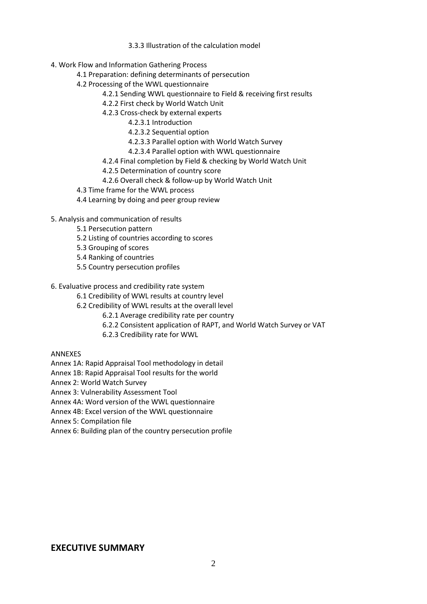- 3.3.3 Illustration of the calculation model
- 4. Work Flow and Information Gathering Process
	- 4.1 Preparation: defining determinants of persecution
	- 4.2 Processing of the WWL questionnaire
		- 4.2.1 Sending WWL questionnaire to Field & receiving first results
		- 4.2.2 First check by World Watch Unit
		- 4.2.3 Cross-check by external experts
			- 4.2.3.1 Introduction
			- 4.2.3.2 Sequential option
			- 4.2.3.3 Parallel option with World Watch Survey
			- 4.2.3.4 Parallel option with WWL questionnaire
		- 4.2.4 Final completion by Field & checking by World Watch Unit
		- 4.2.5 Determination of country score
		- 4.2.6 Overall check & follow-up by World Watch Unit
	- 4.3 Time frame for the WWL process
	- 4.4 Learning by doing and peer group review
- 5. Analysis and communication of results
	- 5.1 Persecution pattern
	- 5.2 Listing of countries according to scores
	- 5.3 Grouping of scores
	- 5.4 Ranking of countries
	- 5.5 Country persecution profiles
- 6. Evaluative process and credibility rate system
	- 6.1 Credibility of WWL results at country level
	- 6.2 Credibility of WWL results at the overall level
		- 6.2.1 Average credibility rate per country
		- 6.2.2 Consistent application of RAPT, and World Watch Survey or VAT
		- 6.2.3 Credibility rate for WWL
- ANNEXES
- Annex 1A: Rapid Appraisal Tool methodology in detail
- Annex 1B: Rapid Appraisal Tool results for the world
- Annex 2: World Watch Survey
- Annex 3: Vulnerability Assessment Tool
- Annex 4A: Word version of the WWL questionnaire
- Annex 4B: Excel version of the WWL questionnaire
- Annex 5: Compilation file
- Annex 6: Building plan of the country persecution profile

# **EXECUTIVE SUMMARY**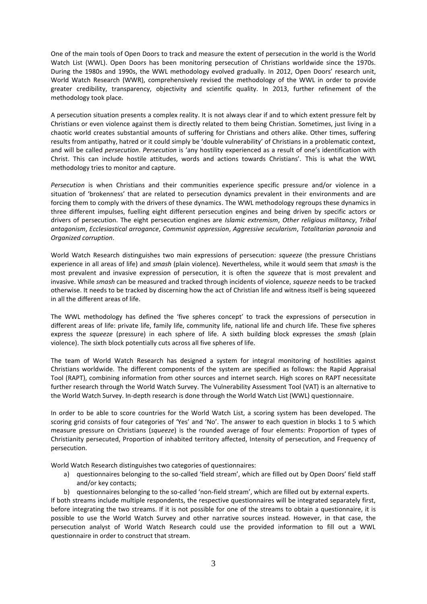One of the main tools of Open Doors to track and measure the extent of persecution in the world is the World Watch List (WWL). Open Doors has been monitoring persecution of Christians worldwide since the 1970s. During the 1980s and 1990s, the WWL methodology evolved gradually. In 2012, Open Doors' research unit, World Watch Research (WWR), comprehensively revised the methodology of the WWL in order to provide greater credibility, transparency, objectivity and scientific quality. In 2013, further refinement of the methodology took place.

A persecution situation presents a complex reality. It is not always clear if and to which extent pressure felt by Christians or even violence against them is directly related to them being Christian. Sometimes, just living in a chaotic world creates substantial amounts of suffering for Christians and others alike. Other times, suffering results from antipathy, hatred or it could simply be 'double vulnerability' of Christians in a problematic context, and will be called *persecution*. *Persecution* is 'any hostility experienced as a result of one's identification with Christ. This can include hostile attitudes, words and actions towards Christians'. This is what the WWL methodology tries to monitor and capture.

*Persecution* is when Christians and their communities experience specific pressure and/or violence in a situation of 'brokenness' that are related to persecution dynamics prevalent in their environments and are forcing them to comply with the drivers of these dynamics. The WWL methodology regroups these dynamics in three different impulses, fuelling eight different persecution engines and being driven by specific actors or drivers of persecution. The eight persecution engines are *Islamic extremism*, *Other religious militancy*, *Tribal antagonism*, *Ecclesiastical arrogance*, *Communist oppression*, *Aggressive secularism*, *Totalitarian paranoia* and *Organized corruption*.

World Watch Research distinguishes two main expressions of persecution: *squeeze* (the pressure Christians experience in all areas of life) and *smash* (plain violence). Nevertheless, while it would seem that *smash* is the most prevalent and invasive expression of persecution, it is often the *squeeze* that is most prevalent and invasive. While *smash* can be measured and tracked through incidents of violence, *squeeze* needs to be tracked otherwise. It needs to be tracked by discerning how the act of Christian life and witness itself is being squeezed in all the different areas of life.

The WWL methodology has defined the 'five spheres concept' to track the expressions of persecution in different areas of life: private life, family life, community life, national life and church life. These five spheres express the *squeeze* (pressure) in each sphere of life. A sixth building block expresses the *smash* (plain violence). The sixth block potentially cuts across all five spheres of life.

The team of World Watch Research has designed a system for integral monitoring of hostilities against Christians worldwide. The different components of the system are specified as follows: the Rapid Appraisal Tool (RAPT), combining information from other sources and internet search. High scores on RAPT necessitate further research through the World Watch Survey. The Vulnerability Assessment Tool (VAT) is an alternative to the World Watch Survey. In-depth research is done through the World Watch List (WWL) questionnaire.

In order to be able to score countries for the World Watch List, a scoring system has been developed. The scoring grid consists of four categories of 'Yes' and 'No'. The answer to each question in blocks 1 to 5 which measure pressure on Christians (*squeeze*) is the rounded average of four elements: Proportion of types of Christianity persecuted, Proportion of inhabited territory affected, Intensity of persecution, and Frequency of persecution.

World Watch Research distinguishes two categories of questionnaires:

- a) questionnaires belonging to the so-called 'field stream', which are filled out by Open Doors' field staff and/or key contacts;
- b) questionnaires belonging to the so-called 'non-field stream', which are filled out by external experts.

If both streams include multiple respondents, the respective questionnaires will be integrated separately first, before integrating the two streams. If it is not possible for one of the streams to obtain a questionnaire, it is possible to use the World Watch Survey and other narrative sources instead. However, in that case, the persecution analyst of World Watch Research could use the provided information to fill out a WWL questionnaire in order to construct that stream.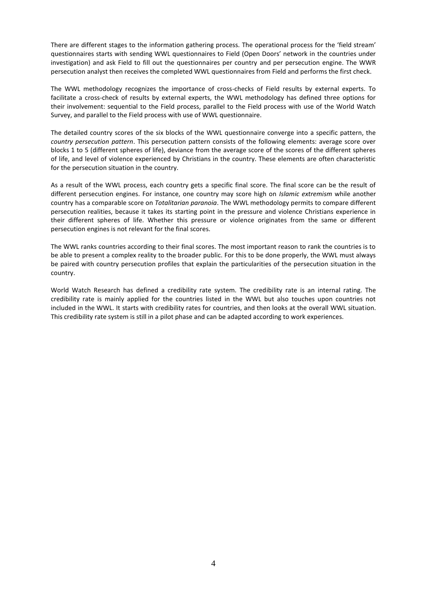There are different stages to the information gathering process. The operational process for the 'field stream' questionnaires starts with sending WWL questionnaires to Field (Open Doors' network in the countries under investigation) and ask Field to fill out the questionnaires per country and per persecution engine. The WWR persecution analyst then receives the completed WWL questionnaires from Field and performs the first check.

The WWL methodology recognizes the importance of cross-checks of Field results by external experts. To facilitate a cross-check of results by external experts, the WWL methodology has defined three options for their involvement: sequential to the Field process, parallel to the Field process with use of the World Watch Survey, and parallel to the Field process with use of WWL questionnaire.

The detailed country scores of the six blocks of the WWL questionnaire converge into a specific pattern, the *country persecution pattern*. This persecution pattern consists of the following elements: average score over blocks 1 to 5 (different spheres of life), deviance from the average score of the scores of the different spheres of life, and level of violence experienced by Christians in the country. These elements are often characteristic for the persecution situation in the country.

As a result of the WWL process, each country gets a specific final score. The final score can be the result of different persecution engines. For instance, one country may score high on *Islamic extremism* while another country has a comparable score on *Totalitarian paranoia*. The WWL methodology permits to compare different persecution realities, because it takes its starting point in the pressure and violence Christians experience in their different spheres of life. Whether this pressure or violence originates from the same or different persecution engines is not relevant for the final scores.

The WWL ranks countries according to their final scores. The most important reason to rank the countries is to be able to present a complex reality to the broader public. For this to be done properly, the WWL must always be paired with country persecution profiles that explain the particularities of the persecution situation in the country.

World Watch Research has defined a credibility rate system. The credibility rate is an internal rating. The credibility rate is mainly applied for the countries listed in the WWL but also touches upon countries not included in the WWL. It starts with credibility rates for countries, and then looks at the overall WWL situation. This credibility rate system is still in a pilot phase and can be adapted according to work experiences.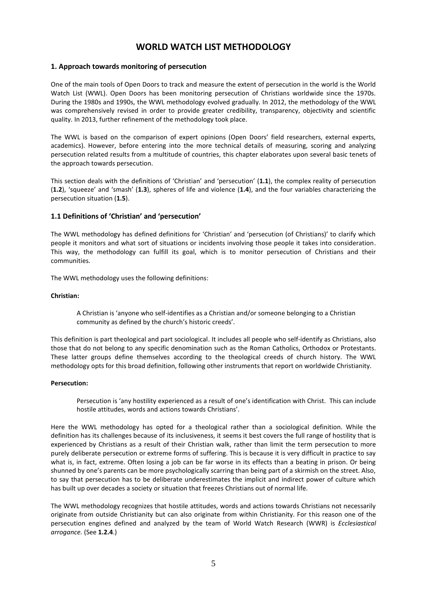# **WORLD WATCH LIST METHODOLOGY**

# **1. Approach towards monitoring of persecution**

One of the main tools of Open Doors to track and measure the extent of persecution in the world is the World Watch List (WWL). Open Doors has been monitoring persecution of Christians worldwide since the 1970s. During the 1980s and 1990s, the WWL methodology evolved gradually. In 2012, the methodology of the WWL was comprehensively revised in order to provide greater credibility, transparency, objectivity and scientific quality. In 2013, further refinement of the methodology took place.

The WWL is based on the comparison of expert opinions (Open Doors' field researchers, external experts, academics). However, before entering into the more technical details of measuring, scoring and analyzing persecution related results from a multitude of countries, this chapter elaborates upon several basic tenets of the approach towards persecution.

This section deals with the definitions of 'Christian' and 'persecution' (**1.1**), the complex reality of persecution (**1.2**), 'squeeze' and 'smash' (**1.3**), spheres of life and violence (**1.4**), and the four variables characterizing the persecution situation (**1.5**).

# **1.1 Definitions of 'Christian' and 'persecution'**

The WWL methodology has defined definitions for 'Christian' and 'persecution (of Christians)' to clarify which people it monitors and what sort of situations or incidents involving those people it takes into consideration. This way, the methodology can fulfill its goal, which is to monitor persecution of Christians and their communities.

The WWL methodology uses the following definitions:

#### **Christian:**

A Christian is 'anyone who self-identifies as a Christian and/or someone belonging to a Christian community as defined by the church's historic creeds'.

This definition is part theological and part sociological. It includes all people who self-identify as Christians, also those that do not belong to any specific denomination such as the Roman Catholics, Orthodox or Protestants. These latter groups define themselves according to the theological creeds of church history. The WWL methodology opts for this broad definition, following other instruments that report on worldwide Christianity.

#### **Persecution:**

Persecution is 'any hostility experienced as a result of one's identification with Christ. This can include hostile attitudes, words and actions towards Christians'.

Here the WWL methodology has opted for a theological rather than a sociological definition. While the definition has its challenges because of its inclusiveness, it seems it best covers the full range of hostility that is experienced by Christians as a result of their Christian walk, rather than limit the term persecution to more purely deliberate persecution or extreme forms of suffering. This is because it is very difficult in practice to say what is, in fact, extreme. Often losing a job can be far worse in its effects than a beating in prison. Or being shunned by one's parents can be more psychologically scarring than being part of a skirmish on the street. Also, to say that persecution has to be deliberate underestimates the implicit and indirect power of culture which has built up over decades a society or situation that freezes Christians out of normal life.

The WWL methodology recognizes that hostile attitudes, words and actions towards Christians not necessarily originate from outside Christianity but can also originate from within Christianity. For this reason one of the persecution engines defined and analyzed by the team of World Watch Research (WWR) is *Ecclesiastical arrogance.* (See **1.2.4**.)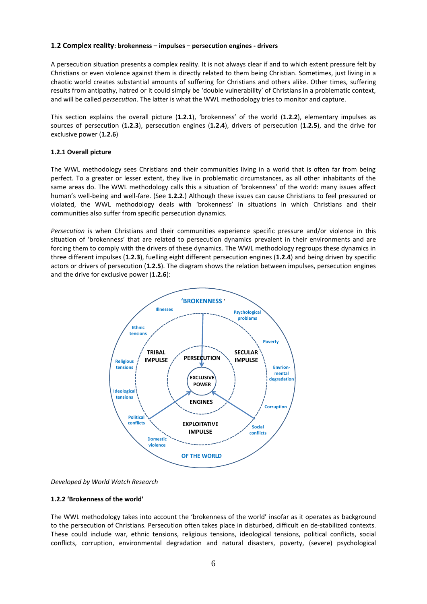## **1.2 Complex reality: brokenness – impulses – persecution engines - drivers**

A persecution situation presents a complex reality. It is not always clear if and to which extent pressure felt by Christians or even violence against them is directly related to them being Christian. Sometimes, just living in a chaotic world creates substantial amounts of suffering for Christians and others alike. Other times, suffering results from antipathy, hatred or it could simply be 'double vulnerability' of Christians in a problematic context, and will be called *persecution*. The latter is what the WWL methodology tries to monitor and capture.

This section explains the overall picture (**1.2.1**), 'brokenness' of the world (**1.2.2**), elementary impulses as sources of persecution (**1.2.3**), persecution engines (**1.2.4**), drivers of persecution (**1.2.5**), and the drive for exclusive power (**1.2.6**)

# **1.2.1 Overall picture**

The WWL methodology sees Christians and their communities living in a world that is often far from being perfect. To a greater or lesser extent, they live in problematic circumstances, as all other inhabitants of the same areas do. The WWL methodology calls this a situation of 'brokenness' of the world: many issues affect human's well-being and well-fare. (See **1.2.2**.) Although these issues can cause Christians to feel pressured or violated, the WWL methodology deals with 'brokenness' in situations in which Christians and their communities also suffer from specific persecution dynamics.

*Persecution* is when Christians and their communities experience specific pressure and/or violence in this situation of 'brokenness' that are related to persecution dynamics prevalent in their environments and are forcing them to comply with the drivers of these dynamics. The WWL methodology regroups these dynamics in three different impulses (**1.2.3**), fuelling eight different persecution engines (**1.2.4**) and being driven by specific actors or drivers of persecution (**1.2.5**). The diagram shows the relation between impulses, persecution engines and the drive for exclusive power (**1.2.6**):



*Developed by World Watch Research*

## **1.2.2 'Brokenness of the world'**

The WWL methodology takes into account the 'brokenness of the world' insofar as it operates as background to the persecution of Christians. Persecution often takes place in disturbed, difficult en de-stabilized contexts. These could include war, ethnic tensions, religious tensions, ideological tensions, political conflicts, social conflicts, corruption, environmental degradation and natural disasters, poverty, (severe) psychological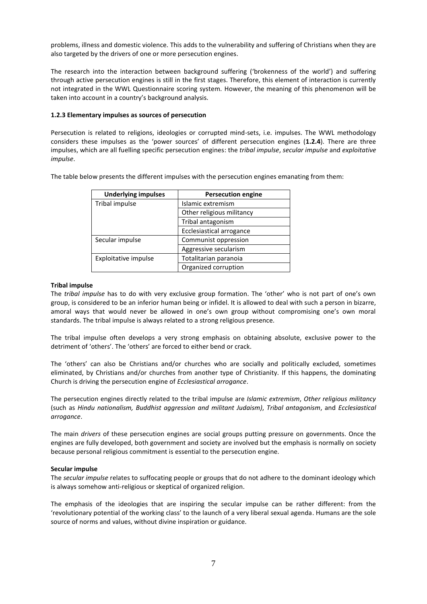problems, illness and domestic violence. This adds to the vulnerability and suffering of Christians when they are also targeted by the drivers of one or more persecution engines.

The research into the interaction between background suffering ('brokenness of the world') and suffering through active persecution engines is still in the first stages. Therefore, this element of interaction is currently not integrated in the WWL Questionnaire scoring system. However, the meaning of this phenomenon will be taken into account in a country's background analysis.

# **1.2.3 Elementary impulses as sources of persecution**

Persecution is related to religions, ideologies or corrupted mind-sets, i.e. impulses. The WWL methodology considers these impulses as the 'power sources' of different persecution engines (**1.2.4**). There are three impulses, which are all fuelling specific persecution engines: the *tribal impulse*, *secular impulse* and *exploitative impulse*.

The table below presents the different impulses with the persecution engines emanating from them:

| <b>Underlying impulses</b> | <b>Persecution engine</b>       |
|----------------------------|---------------------------------|
| Tribal impulse             | Islamic extremism               |
|                            | Other religious militancy       |
|                            | Tribal antagonism               |
|                            | <b>Ecclesiastical arrogance</b> |
| Secular impulse            | Communist oppression            |
|                            | Aggressive secularism           |
| Exploitative impulse       | Totalitarian paranoia           |
|                            | Organized corruption            |

## **Tribal impulse**

The *tribal impulse* has to do with very exclusive group formation. The 'other' who is not part of one's own group, is considered to be an inferior human being or infidel. It is allowed to deal with such a person in bizarre, amoral ways that would never be allowed in one's own group without compromising one's own moral standards. The tribal impulse is always related to a strong religious presence.

The tribal impulse often develops a very strong emphasis on obtaining absolute, exclusive power to the detriment of 'others'. The 'others' are forced to either bend or crack.

The 'others' can also be Christians and/or churches who are socially and politically excluded, sometimes eliminated, by Christians and/or churches from another type of Christianity. If this happens, the dominating Church is driving the persecution engine of *Ecclesiastical arrogance*.

The persecution engines directly related to the tribal impulse are *Islamic extremism*, *Other religious militancy* (such as *Hindu nationalism, Buddhist aggression and militant Judaism)*, *Tribal antagonism*, and *Ecclesiastical arrogance*.

The main *drivers* of these persecution engines are social groups putting pressure on governments. Once the engines are fully developed, both government and society are involved but the emphasis is normally on society because personal religious commitment is essential to the persecution engine.

## **Secular impulse**

The *secular impulse* relates to suffocating people or groups that do not adhere to the dominant ideology which is always somehow anti-religious or skeptical of organized religion.

The emphasis of the ideologies that are inspiring the secular impulse can be rather different: from the 'revolutionary potential of the working class' to the launch of a very liberal sexual agenda. Humans are the sole source of norms and values, without divine inspiration or guidance.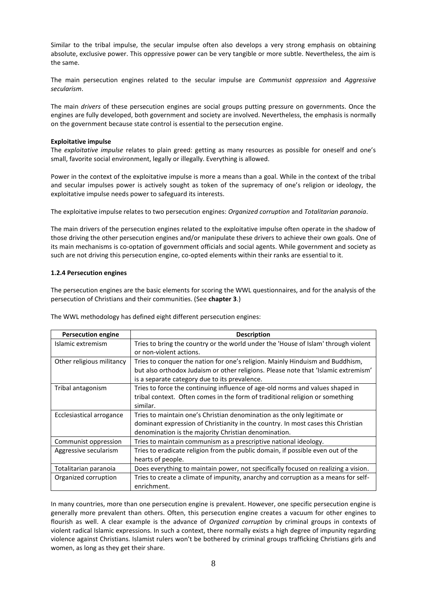Similar to the tribal impulse, the secular impulse often also develops a very strong emphasis on obtaining absolute, exclusive power. This oppressive power can be very tangible or more subtle. Nevertheless, the aim is the same.

The main persecution engines related to the secular impulse are *Communist oppression* and *Aggressive secularism*.

The main *drivers* of these persecution engines are social groups putting pressure on governments. Once the engines are fully developed, both government and society are involved. Nevertheless, the emphasis is normally on the government because state control is essential to the persecution engine.

### **Exploitative impulse**

The *exploitative impulse* relates to plain greed: getting as many resources as possible for oneself and one's small, favorite social environment, legally or illegally. Everything is allowed.

Power in the context of the exploitative impulse is more a means than a goal. While in the context of the tribal and secular impulses power is actively sought as token of the supremacy of one's religion or ideology, the exploitative impulse needs power to safeguard its interests.

The exploitative impulse relates to two persecution engines: *Organized corruption* and *Totalitarian paranoia*.

The main drivers of the persecution engines related to the exploitative impulse often operate in the shadow of those driving the other persecution engines and/or manipulate these drivers to achieve their own goals. One of its main mechanisms is co-optation of government officials and social agents. While government and society as such are not driving this persecution engine, co-opted elements within their ranks are essential to it.

#### **1.2.4 Persecution engines**

The persecution engines are the basic elements for scoring the WWL questionnaires, and for the analysis of the persecution of Christians and their communities. (See **chapter 3**.)

The WWL methodology has defined eight different persecution engines:

| <b>Persecution engine</b> | <b>Description</b>                                                                 |
|---------------------------|------------------------------------------------------------------------------------|
| Islamic extremism         | Tries to bring the country or the world under the 'House of Islam' through violent |
|                           | or non-violent actions.                                                            |
| Other religious militancy | Tries to conquer the nation for one's religion. Mainly Hinduism and Buddhism,      |
|                           | but also orthodox Judaism or other religions. Please note that 'Islamic extremism' |
|                           | is a separate category due to its prevalence.                                      |
| Tribal antagonism         | Tries to force the continuing influence of age-old norms and values shaped in      |
|                           | tribal context. Often comes in the form of traditional religion or something       |
|                           | similar.                                                                           |
| Ecclesiastical arrogance  | Tries to maintain one's Christian denomination as the only legitimate or           |
|                           | dominant expression of Christianity in the country. In most cases this Christian   |
|                           | denomination is the majority Christian denomination.                               |
| Communist oppression      | Tries to maintain communism as a prescriptive national ideology.                   |
| Aggressive secularism     | Tries to eradicate religion from the public domain, if possible even out of the    |
|                           | hearts of people.                                                                  |
| Totalitarian paranoia     | Does everything to maintain power, not specifically focused on realizing a vision. |
| Organized corruption      | Tries to create a climate of impunity, anarchy and corruption as a means for self- |
|                           | enrichment.                                                                        |

In many countries, more than one persecution engine is prevalent. However, one specific persecution engine is generally more prevalent than others. Often, this persecution engine creates a vacuum for other engines to flourish as well. A clear example is the advance of *Organized corruption* by criminal groups in contexts of violent radical Islamic expressions. In such a context, there normally exists a high degree of impunity regarding violence against Christians. Islamist rulers won't be bothered by criminal groups trafficking Christians girls and women, as long as they get their share.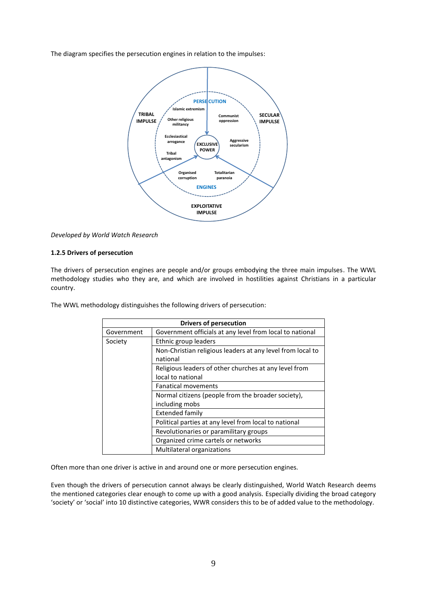The diagram specifies the persecution engines in relation to the impulses:



*Developed by World Watch Research*

## **1.2.5 Drivers of persecution**

The drivers of persecution engines are people and/or groups embodying the three main impulses. The WWL methodology studies who they are, and which are involved in hostilities against Christians in a particular country.

The WWL methodology distinguishes the following drivers of persecution:

| <b>Drivers of persecution</b> |                                                            |  |  |  |  |
|-------------------------------|------------------------------------------------------------|--|--|--|--|
| Government                    | Government officials at any level from local to national   |  |  |  |  |
| Society                       | Ethnic group leaders                                       |  |  |  |  |
|                               | Non-Christian religious leaders at any level from local to |  |  |  |  |
|                               | national                                                   |  |  |  |  |
|                               | Religious leaders of other churches at any level from      |  |  |  |  |
|                               | local to national                                          |  |  |  |  |
|                               | <b>Fanatical movements</b>                                 |  |  |  |  |
|                               | Normal citizens (people from the broader society),         |  |  |  |  |
|                               | including mobs                                             |  |  |  |  |
|                               | <b>Extended family</b>                                     |  |  |  |  |
|                               | Political parties at any level from local to national      |  |  |  |  |
|                               | Revolutionaries or paramilitary groups                     |  |  |  |  |
|                               | Organized crime cartels or networks                        |  |  |  |  |
|                               | Multilateral organizations                                 |  |  |  |  |

Often more than one driver is active in and around one or more persecution engines.

Even though the drivers of persecution cannot always be clearly distinguished, World Watch Research deems the mentioned categories clear enough to come up with a good analysis. Especially dividing the broad category 'society' or 'social' into 10 distinctive categories, WWR considers this to be of added value to the methodology.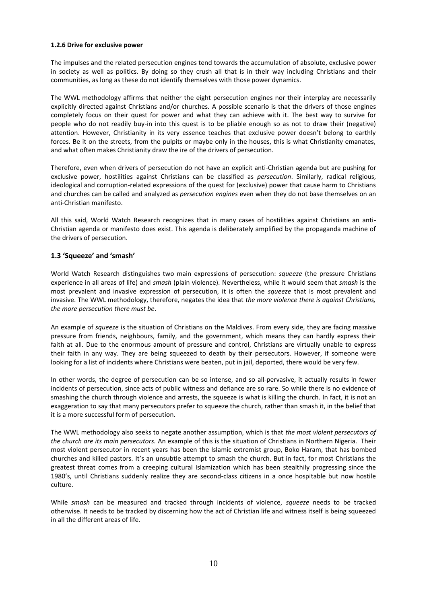### **1.2.6 Drive for exclusive power**

The impulses and the related persecution engines tend towards the accumulation of absolute, exclusive power in society as well as politics. By doing so they crush all that is in their way including Christians and their communities, as long as these do not identify themselves with those power dynamics.

The WWL methodology affirms that neither the eight persecution engines nor their interplay are necessarily explicitly directed against Christians and/or churches. A possible scenario is that the drivers of those engines completely focus on their quest for power and what they can achieve with it. The best way to survive for people who do not readily buy-in into this quest is to be pliable enough so as not to draw their (negative) attention. However, Christianity in its very essence teaches that exclusive power doesn't belong to earthly forces. Be it on the streets, from the pulpits or maybe only in the houses, this is what Christianity emanates, and what often makes Christianity draw the ire of the drivers of persecution.

Therefore, even when drivers of persecution do not have an explicit anti-Christian agenda but are pushing for exclusive power, hostilities against Christians can be classified as *persecution*. Similarly, radical religious, ideological and corruption-related expressions of the quest for (exclusive) power that cause harm to Christians and churches can be called and analyzed as *persecution engines* even when they do not base themselves on an anti-Christian manifesto.

All this said, World Watch Research recognizes that in many cases of hostilities against Christians an anti-Christian agenda or manifesto does exist. This agenda is deliberately amplified by the propaganda machine of the drivers of persecution.

# **1.3 'Squeeze' and 'smash'**

World Watch Research distinguishes two main expressions of persecution: *squeeze* (the pressure Christians experience in all areas of life) and *smash* (plain violence). Nevertheless, while it would seem that *smash* is the most prevalent and invasive expression of persecution, it is often the *squeeze* that is most prevalent and invasive. The WWL methodology, therefore, negates the idea that *the more violence there is against Christians, the more persecution there must be*.

An example of *squeeze* is the situation of Christians on the Maldives. From every side, they are facing massive pressure from friends, neighbours, family, and the government, which means they can hardly express their faith at all. Due to the enormous amount of pressure and control, Christians are virtually unable to express their faith in any way. They are being squeezed to death by their persecutors. However, if someone were looking for a list of incidents where Christians were beaten, put in jail, deported, there would be very few.

In other words, the degree of persecution can be so intense, and so all-pervasive, it actually results in fewer incidents of persecution, since acts of public witness and defiance are so rare. So while there is no evidence of smashing the church through violence and arrests, the squeeze is what is killing the church. In fact, it is not an exaggeration to say that many persecutors prefer to squeeze the church, rather than smash it, in the belief that it is a more successful form of persecution.

The WWL methodology also seeks to negate another assumption, which is that *the most violent persecutors of the church are its main persecutors.* An example of this is the situation of Christians in Northern Nigeria. Their most violent persecutor in recent years has been the Islamic extremist group, Boko Haram, that has bombed churches and killed pastors. It's an unsubtle attempt to smash the church. But in fact, for most Christians the greatest threat comes from a creeping cultural Islamization which has been stealthily progressing since the 1980's, until Christians suddenly realize they are second-class citizens in a once hospitable but now hostile culture.

While *smash* can be measured and tracked through incidents of violence, *squeeze* needs to be tracked otherwise. It needs to be tracked by discerning how the act of Christian life and witness itself is being squeezed in all the different areas of life.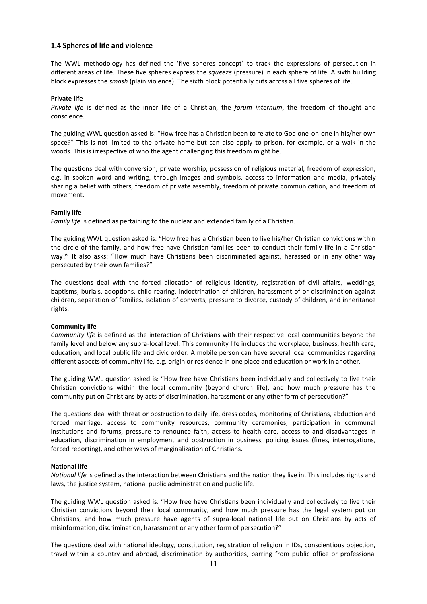## **1.4 Spheres of life and violence**

The WWL methodology has defined the 'five spheres concept' to track the expressions of persecution in different areas of life. These five spheres express the *squeeze* (pressure) in each sphere of life. A sixth building block expresses the *smash* (plain violence). The sixth block potentially cuts across all five spheres of life.

#### **Private life**

*Private life* is defined as the inner life of a Christian, the *forum internum*, the freedom of thought and conscience.

The guiding WWL question asked is: "How free has a Christian been to relate to God one-on-one in his/her own space?" This is not limited to the private home but can also apply to prison, for example, or a walk in the woods. This is irrespective of who the agent challenging this freedom might be.

The questions deal with conversion, private worship, possession of religious material, freedom of expression, e.g. in spoken word and writing, through images and symbols, access to information and media, privately sharing a belief with others, freedom of private assembly, freedom of private communication, and freedom of movement.

#### **Family life**

*Family life* is defined as pertaining to the nuclear and extended family of a Christian.

The guiding WWL question asked is: "How free has a Christian been to live his/her Christian convictions within the circle of the family, and how free have Christian families been to conduct their family life in a Christian way?" It also asks: "How much have Christians been discriminated against, harassed or in any other way persecuted by their own families?"

The questions deal with the forced allocation of religious identity, registration of civil affairs, weddings, baptisms, burials, adoptions, child rearing, indoctrination of children, harassment of or discrimination against children, separation of families, isolation of converts, pressure to divorce, custody of children, and inheritance rights.

#### **Community life**

*Community life* is defined as the interaction of Christians with their respective local communities beyond the family level and below any supra-local level. This community life includes the workplace, business, health care, education, and local public life and civic order. A mobile person can have several local communities regarding different aspects of community life, e.g. origin or residence in one place and education or work in another.

The guiding WWL question asked is: "How free have Christians been individually and collectively to live their Christian convictions within the local community (beyond church life), and how much pressure has the community put on Christians by acts of discrimination, harassment or any other form of persecution?"

The questions deal with threat or obstruction to daily life, dress codes, monitoring of Christians, abduction and forced marriage, access to community resources, community ceremonies, participation in communal institutions and forums, pressure to renounce faith, access to health care, access to and disadvantages in education, discrimination in employment and obstruction in business, policing issues (fines, interrogations, forced reporting), and other ways of marginalization of Christians.

#### **National life**

*National life* is defined as the interaction between Christians and the nation they live in. This includes rights and laws, the justice system, national public administration and public life.

The guiding WWL question asked is: "How free have Christians been individually and collectively to live their Christian convictions beyond their local community, and how much pressure has the legal system put on Christians, and how much pressure have agents of supra-local national life put on Christians by acts of misinformation, discrimination, harassment or any other form of persecution?"

The questions deal with national ideology, constitution, registration of religion in IDs, conscientious objection, travel within a country and abroad, discrimination by authorities, barring from public office or professional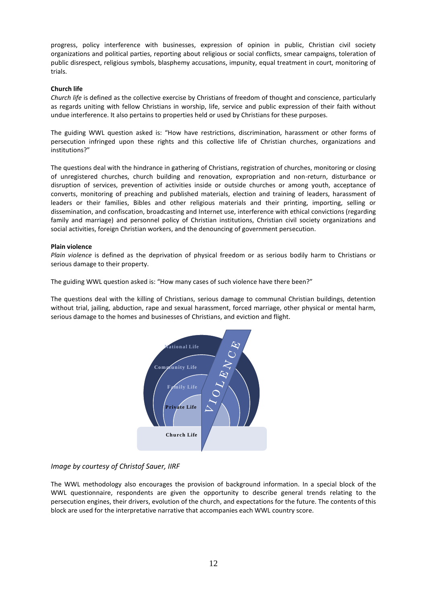progress, policy interference with businesses, expression of opinion in public, Christian civil society organizations and political parties, reporting about religious or social conflicts, smear campaigns, toleration of public disrespect, religious symbols, blasphemy accusations, impunity, equal treatment in court, monitoring of trials.

## **Church life**

*Church life* is defined as the collective exercise by Christians of freedom of thought and conscience, particularly as regards uniting with fellow Christians in worship, life, service and public expression of their faith without undue interference. It also pertains to properties held or used by Christians for these purposes.

The guiding WWL question asked is: "How have restrictions, discrimination, harassment or other forms of persecution infringed upon these rights and this collective life of Christian churches, organizations and institutions?"

The questions deal with the hindrance in gathering of Christians, registration of churches, monitoring or closing of unregistered churches, church building and renovation, expropriation and non-return, disturbance or disruption of services, prevention of activities inside or outside churches or among youth, acceptance of converts, monitoring of preaching and published materials, election and training of leaders, harassment of leaders or their families, Bibles and other religious materials and their printing, importing, selling or dissemination, and confiscation, broadcasting and Internet use, interference with ethical convictions (regarding family and marriage) and personnel policy of Christian institutions, Christian civil society organizations and social activities, foreign Christian workers, and the denouncing of government persecution.

## **Plain violence**

*Plain violence* is defined as the deprivation of physical freedom or as serious bodily harm to Christians or serious damage to their property.

The guiding WWL question asked is: "How many cases of such violence have there been?"

The questions deal with the killing of Christians, serious damage to communal Christian buildings, detention without trial, jailing, abduction, rape and sexual harassment, forced marriage, other physical or mental harm, serious damage to the homes and businesses of Christians, and eviction and flight.



# *Image by courtesy of Christof Sauer, IIRF*

The WWL methodology also encourages the provision of background information. In a special block of the WWL questionnaire, respondents are given the opportunity to describe general trends relating to the persecution engines, their drivers, evolution of the church, and expectations for the future. The contents of this block are used for the interpretative narrative that accompanies each WWL country score.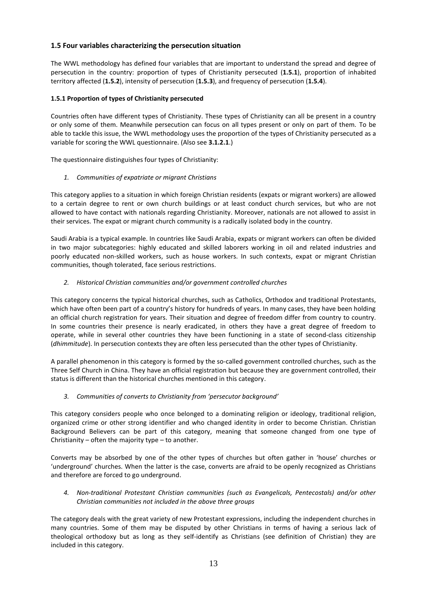# **1.5 Four variables characterizing the persecution situation**

The WWL methodology has defined four variables that are important to understand the spread and degree of persecution in the country: proportion of types of Christianity persecuted (**1.5.1**), proportion of inhabited territory affected (**1.5.2**), intensity of persecution (**1.5.3**), and frequency of persecution (**1.5.4**).

# **1.5.1 Proportion of types of Christianity persecuted**

Countries often have different types of Christianity. These types of Christianity can all be present in a country or only some of them. Meanwhile persecution can focus on all types present or only on part of them. To be able to tackle this issue, the WWL methodology uses the proportion of the types of Christianity persecuted as a variable for scoring the WWL questionnaire. (Also see **3.1.2.1**.)

The questionnaire distinguishes four types of Christianity:

# *1. Communities of expatriate or migrant Christians*

This category applies to a situation in which foreign Christian residents (expats or migrant workers) are allowed to a certain degree to rent or own church buildings or at least conduct church services, but who are not allowed to have contact with nationals regarding Christianity. Moreover, nationals are not allowed to assist in their services. The expat or migrant church community is a radically isolated body in the country.

Saudi Arabia is a typical example. In countries like Saudi Arabia, expats or migrant workers can often be divided in two major subcategories: highly educated and skilled laborers working in oil and related industries and poorly educated non-skilled workers, such as house workers. In such contexts, expat or migrant Christian communities, though tolerated, face serious restrictions.

# *2. Historical Christian communities and/or government controlled churches*

This category concerns the typical historical churches, such as Catholics, Orthodox and traditional Protestants, which have often been part of a country's history for hundreds of years. In many cases, they have been holding an official church registration for years. Their situation and degree of freedom differ from country to country. In some countries their presence is nearly eradicated, in others they have a great degree of freedom to operate, while in several other countries they have been functioning in a state of second-class citizenship (*dhimmitude*). In persecution contexts they are often less persecuted than the other types of Christianity.

A parallel phenomenon in this category is formed by the so-called government controlled churches, such as the Three Self Church in China. They have an official registration but because they are government controlled, their status is different than the historical churches mentioned in this category.

# *3. Communities of converts to Christianity from 'persecutor background'*

This category considers people who once belonged to a dominating religion or ideology, traditional religion, organized crime or other strong identifier and who changed identity in order to become Christian. Christian Background Believers can be part of this category, meaning that someone changed from one type of Christianity – often the majority type – to another.

Converts may be absorbed by one of the other types of churches but often gather in 'house' churches or 'underground' churches. When the latter is the case, converts are afraid to be openly recognized as Christians and therefore are forced to go underground.

*4. Non-traditional Protestant Christian communities (such as Evangelicals, Pentecostals) and/or other Christian communities not included in the above three groups*

The category deals with the great variety of new Protestant expressions, including the independent churches in many countries. Some of them may be disputed by other Christians in terms of having a serious lack of theological orthodoxy but as long as they self-identify as Christians (see definition of Christian) they are included in this category.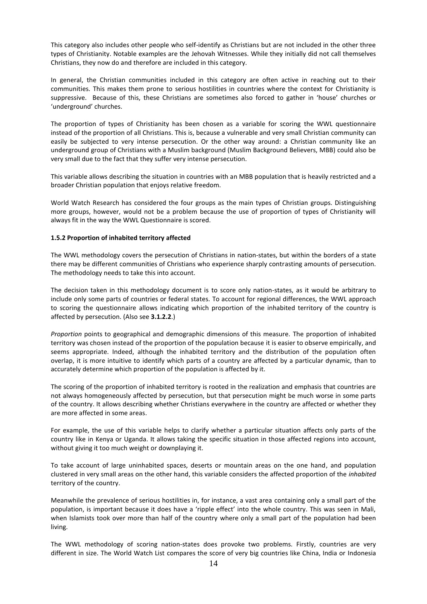This category also includes other people who self-identify as Christians but are not included in the other three types of Christianity. Notable examples are the Jehovah Witnesses. While they initially did not call themselves Christians, they now do and therefore are included in this category.

In general, the Christian communities included in this category are often active in reaching out to their communities. This makes them prone to serious hostilities in countries where the context for Christianity is suppressive. Because of this, these Christians are sometimes also forced to gather in 'house' churches or 'underground' churches.

The proportion of types of Christianity has been chosen as a variable for scoring the WWL questionnaire instead of the proportion of all Christians. This is, because a vulnerable and very small Christian community can easily be subjected to very intense persecution. Or the other way around: a Christian community like an underground group of Christians with a Muslim background (Muslim Background Believers, MBB) could also be very small due to the fact that they suffer very intense persecution.

This variable allows describing the situation in countries with an MBB population that is heavily restricted and a broader Christian population that enjoys relative freedom.

World Watch Research has considered the four groups as the main types of Christian groups. Distinguishing more groups, however, would not be a problem because the use of proportion of types of Christianity will always fit in the way the WWL Questionnaire is scored.

## **1.5.2 Proportion of inhabited territory affected**

The WWL methodology covers the persecution of Christians in nation-states, but within the borders of a state there may be different communities of Christians who experience sharply contrasting amounts of persecution. The methodology needs to take this into account.

The decision taken in this methodology document is to score only nation-states, as it would be arbitrary to include only some parts of countries or federal states. To account for regional differences, the WWL approach to scoring the questionnaire allows indicating which proportion of the inhabited territory of the country is affected by persecution. (Also see **3.1.2.2**.)

*Proportion* points to geographical and demographic dimensions of this measure. The proportion of inhabited territory was chosen instead of the proportion of the population because it is easier to observe empirically, and seems appropriate. Indeed, although the inhabited territory and the distribution of the population often overlap, it is more intuitive to identify which parts of a country are affected by a particular dynamic, than to accurately determine which proportion of the population is affected by it.

The scoring of the proportion of inhabited territory is rooted in the realization and emphasis that countries are not always homogeneously affected by persecution, but that persecution might be much worse in some parts of the country. It allows describing whether Christians everywhere in the country are affected or whether they are more affected in some areas.

For example, the use of this variable helps to clarify whether a particular situation affects only parts of the country like in Kenya or Uganda. It allows taking the specific situation in those affected regions into account, without giving it too much weight or downplaying it.

To take account of large uninhabited spaces, deserts or mountain areas on the one hand, and population clustered in very small areas on the other hand, this variable considers the affected proportion of the *inhabited* territory of the country.

Meanwhile the prevalence of serious hostilities in, for instance, a vast area containing only a small part of the population, is important because it does have a 'ripple effect' into the whole country. This was seen in Mali, when Islamists took over more than half of the country where only a small part of the population had been living.

The WWL methodology of scoring nation-states does provoke two problems. Firstly, countries are very different in size. The World Watch List compares the score of very big countries like China, India or Indonesia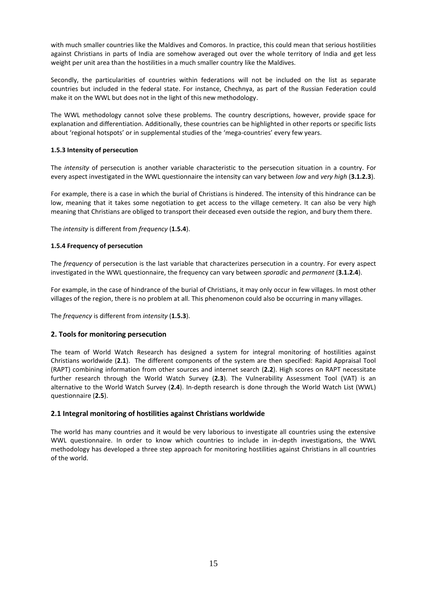with much smaller countries like the Maldives and Comoros. In practice, this could mean that serious hostilities against Christians in parts of India are somehow averaged out over the whole territory of India and get less weight per unit area than the hostilities in a much smaller country like the Maldives.

Secondly, the particularities of countries within federations will not be included on the list as separate countries but included in the federal state. For instance, Chechnya, as part of the Russian Federation could make it on the WWL but does not in the light of this new methodology.

The WWL methodology cannot solve these problems. The country descriptions, however, provide space for explanation and differentiation. Additionally, these countries can be highlighted in other reports or specific lists about 'regional hotspots' or in supplemental studies of the 'mega-countries' every few years.

# **1.5.3 Intensity of persecution**

The *intensity* of persecution is another variable characteristic to the persecution situation in a country. For every aspect investigated in the WWL questionnaire the intensity can vary between *low* and *very high* (**3.1.2.3**).

For example, there is a case in which the burial of Christians is hindered. The intensity of this hindrance can be low, meaning that it takes some negotiation to get access to the village cemetery. It can also be very high meaning that Christians are obliged to transport their deceased even outside the region, and bury them there.

The *intensity* is different from *frequency* (**1.5.4**).

# **1.5.4 Frequency of persecution**

The *frequency* of persecution is the last variable that characterizes persecution in a country. For every aspect investigated in the WWL questionnaire, the frequency can vary between *sporadic* and *permanent* (**3.1.2.4**).

For example, in the case of hindrance of the burial of Christians, it may only occur in few villages. In most other villages of the region, there is no problem at all. This phenomenon could also be occurring in many villages.

The *frequency* is different from *intensity* (**1.5.3**).

# **2. Tools for monitoring persecution**

The team of World Watch Research has designed a system for integral monitoring of hostilities against Christians worldwide (**2.1**). The different components of the system are then specified: Rapid Appraisal Tool (RAPT) combining information from other sources and internet search (**2.2**). High scores on RAPT necessitate further research through the World Watch Survey (**2.3**). The Vulnerability Assessment Tool (VAT) is an alternative to the World Watch Survey (**2.4**). In-depth research is done through the World Watch List (WWL) questionnaire (**2.5**).

# **2.1 Integral monitoring of hostilities against Christians worldwide**

The world has many countries and it would be very laborious to investigate all countries using the extensive WWL questionnaire. In order to know which countries to include in in-depth investigations, the WWL methodology has developed a three step approach for monitoring hostilities against Christians in all countries of the world.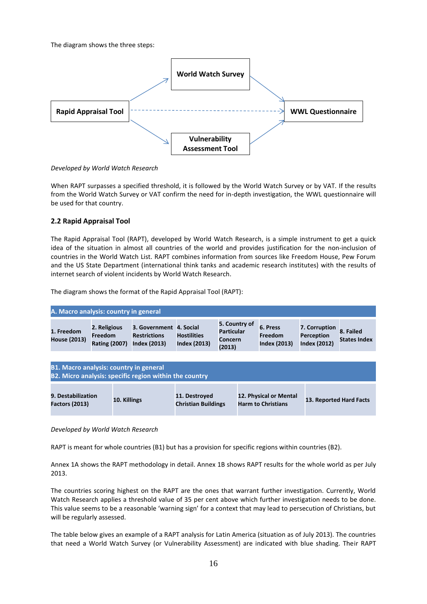The diagram shows the three steps:



*Developed by World Watch Research*

When RAPT surpasses a specified threshold, it is followed by the World Watch Survey or by VAT. If the results from the World Watch Survey or VAT confirm the need for in-depth investigation, the WWL questionnaire will be used for that country.

# **2.2 Rapid Appraisal Tool**

The Rapid Appraisal Tool (RAPT), developed by World Watch Research, is a simple instrument to get a quick idea of the situation in almost all countries of the world and provides justification for the non-inclusion of countries in the World Watch List. RAPT combines information from sources like Freedom House, Pew Forum and the US State Department (international think tanks and academic research institutes) with the results of internet search of violent incidents by World Watch Research.

The diagram shows the format of the Rapid Appraisal Tool (RAPT):

| A. Macro analysis: country in general |                                                        |                                                                       |                                           |                                                                |                                                   |                                                    |                                  |
|---------------------------------------|--------------------------------------------------------|-----------------------------------------------------------------------|-------------------------------------------|----------------------------------------------------------------|---------------------------------------------------|----------------------------------------------------|----------------------------------|
| 1. Freedom<br><b>House (2013)</b>     | 2. Religious<br><b>Freedom</b><br><b>Rating (2007)</b> | 3. Government 4. Social<br><b>Restrictions</b><br><b>Index (2013)</b> | <b>Hostilities</b><br><b>Index (2013)</b> | 5. Country of<br><b>Particular</b><br><b>Concern</b><br>(2013) | 6. Press<br><b>Freedom</b><br><b>Index (2013)</b> | 7. Corruption<br>Perception<br><b>Index (2012)</b> | 8. Failed<br><b>States Index</b> |

| <b>B1. Macro analysis: country in general</b><br>B2. Micro analysis: specific region within the country |              |                                             |                                                     |                         |  |
|---------------------------------------------------------------------------------------------------------|--------------|---------------------------------------------|-----------------------------------------------------|-------------------------|--|
| 9. Destabilization<br><b>Factors (2013)</b>                                                             | 10. Killings | 11. Destroyed<br><b>Christian Buildings</b> | 12. Physical or Mental<br><b>Harm to Christians</b> | 13. Reported Hard Facts |  |

*Developed by World Watch Research*

RAPT is meant for whole countries (B1) but has a provision for specific regions within countries (B2).

Annex 1A shows the RAPT methodology in detail. Annex 1B shows RAPT results for the whole world as per July 2013.

The countries scoring highest on the RAPT are the ones that warrant further investigation. Currently, World Watch Research applies a threshold value of 35 per cent above which further investigation needs to be done. This value seems to be a reasonable 'warning sign' for a context that may lead to persecution of Christians, but will be regularly assessed.

The table below gives an example of a RAPT analysis for Latin America (situation as of July 2013). The countries that need a World Watch Survey (or Vulnerability Assessment) are indicated with blue shading. Their RAPT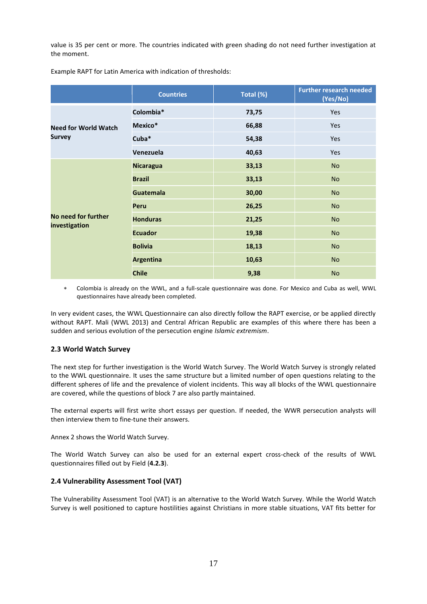value is 35 per cent or more. The countries indicated with green shading do not need further investigation at the moment.

|                                      | <b>Countries</b> | Total (%) | <b>Further research needed</b><br>(Yes/No) |
|--------------------------------------|------------------|-----------|--------------------------------------------|
|                                      | Colombia*        | 73,75     | Yes                                        |
| <b>Need for World Watch</b>          | Mexico*          | 66,88     | Yes                                        |
| <b>Survey</b>                        | Cuba*            | 54,38     | <b>Yes</b>                                 |
|                                      | Venezuela        | 40,63     | Yes                                        |
|                                      | <b>Nicaragua</b> | 33,13     | <b>No</b>                                  |
|                                      | <b>Brazil</b>    | 33,13     | <b>No</b>                                  |
|                                      | <b>Guatemala</b> | 30,00     | <b>No</b>                                  |
|                                      | Peru             | 26,25     | <b>No</b>                                  |
| No need for further<br>investigation | <b>Honduras</b>  | 21,25     | <b>No</b>                                  |
|                                      | <b>Ecuador</b>   | 19,38     | <b>No</b>                                  |
|                                      | <b>Bolivia</b>   | 18,13     | <b>No</b>                                  |
|                                      | <b>Argentina</b> | 10,63     | <b>No</b>                                  |
|                                      | <b>Chile</b>     | 9,38      | <b>No</b>                                  |

Example RAPT for Latin America with indication of thresholds:

 Colombia is already on the WWL, and a full-scale questionnaire was done. For Mexico and Cuba as well, WWL questionnaires have already been completed.

In very evident cases, the WWL Questionnaire can also directly follow the RAPT exercise, or be applied directly without RAPT. Mali (WWL 2013) and Central African Republic are examples of this where there has been a sudden and serious evolution of the persecution engine *Islamic extremism*.

## **2.3 World Watch Survey**

The next step for further investigation is the World Watch Survey. The World Watch Survey is strongly related to the WWL questionnaire. It uses the same structure but a limited number of open questions relating to the different spheres of life and the prevalence of violent incidents. This way all blocks of the WWL questionnaire are covered, while the questions of block 7 are also partly maintained.

The external experts will first write short essays per question. If needed, the WWR persecution analysts will then interview them to fine-tune their answers.

Annex 2 shows the World Watch Survey.

The World Watch Survey can also be used for an external expert cross-check of the results of WWL questionnaires filled out by Field (**4.2.3**).

## **2.4 Vulnerability Assessment Tool (VAT)**

The Vulnerability Assessment Tool (VAT) is an alternative to the World Watch Survey. While the World Watch Survey is well positioned to capture hostilities against Christians in more stable situations, VAT fits better for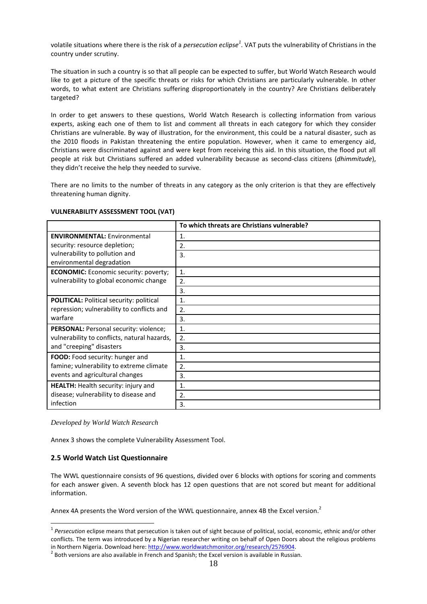volatile situations where there is the risk of a *persecution eclipse<sup>1</sup>* . VAT puts the vulnerability of Christians in the country under scrutiny.

The situation in such a country is so that all people can be expected to suffer, but World Watch Research would like to get a picture of the specific threats or risks for which Christians are particularly vulnerable. In other words, to what extent are Christians suffering disproportionately in the country? Are Christians deliberately targeted?

In order to get answers to these questions, World Watch Research is collecting information from various experts, asking each one of them to list and comment all threats in each category for which they consider Christians are vulnerable. By way of illustration, for the environment, this could be a natural disaster, such as the 2010 floods in Pakistan threatening the entire population. However, when it came to emergency aid, Christians were discriminated against and were kept from receiving this aid. In this situation, the flood put all people at risk but Christians suffered an added vulnerability because as second-class citizens (*dhimmitude*), they didn't receive the help they needed to survive.

There are no limits to the number of threats in any category as the only criterion is that they are effectively threatening human dignity.

|                                                 | To which threats are Christians vulnerable? |
|-------------------------------------------------|---------------------------------------------|
| <b>ENVIRONMENTAL: Environmental</b>             | 1.                                          |
| security: resource depletion;                   | 2.                                          |
| vulnerability to pollution and                  | 3.                                          |
| environmental degradation                       |                                             |
| <b>ECONOMIC:</b> Economic security: poverty;    | 1.                                          |
| vulnerability to global economic change         | 2.                                          |
|                                                 | 3.                                          |
| <b>POLITICAL: Political security: political</b> | 1.                                          |
| repression; vulnerability to conflicts and      | 2.                                          |
| warfare                                         | 3.                                          |
| PERSONAL: Personal security: violence;          | 1.                                          |
| vulnerability to conflicts, natural hazards,    | 2.                                          |
| and "creeping" disasters                        | 3.                                          |
| FOOD: Food security: hunger and                 | 1.                                          |
| famine; vulnerability to extreme climate        | 2.                                          |
| events and agricultural changes                 | 3.                                          |
| <b>HEALTH:</b> Health security: injury and      | 1.                                          |
| disease; vulnerability to disease and           | 2.                                          |
| infection                                       | 3.                                          |

## **VULNERABILITY ASSESSMENT TOOL (VAT)**

*Developed by World Watch Research*

Annex 3 shows the complete Vulnerability Assessment Tool.

## **2.5 World Watch List Questionnaire**

 $\overline{a}$ 

The WWL questionnaire consists of 96 questions, divided over 6 blocks with options for scoring and comments for each answer given. A seventh block has 12 open questions that are not scored but meant for additional information.

Annex 4A presents the Word version of the WWL questionnaire, annex 4B the Excel version.<sup>2</sup>

<sup>&</sup>lt;sup>1</sup> Persecution eclipse means that persecution is taken out of sight because of political, social, economic, ethnic and/or other conflicts. The term was introduced by a Nigerian researcher writing on behalf of Open Doors about the religious problems in Northern Nigeria. Download here[: http://www.worldwatchmonitor.org/research/2576904.](http://www.worldwatchmonitor.org/research/2576904)

 $^{2}$  Both versions are also available in French and Spanish; the Excel version is available in Russian.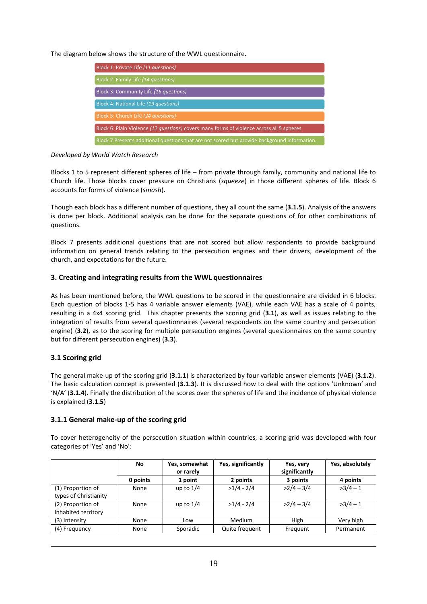The diagram below shows the structure of the WWL questionnaire.

| Block 1: Private Life (11 questions)                                                          |
|-----------------------------------------------------------------------------------------------|
| Block 2: Family Life (14 questions)                                                           |
| Block 3: Community Life (16 questions)                                                        |
| Block 4: National Life (19 questions)                                                         |
| Block 5: Church Life (24 questions)                                                           |
| Block 6: Plain Violence (12 questions) covers many forms of violence across all 5 spheres     |
| Block 7 Presents additional questions that are not scored but provide background information. |

*Developed by World Watch Research*

Blocks 1 to 5 represent different spheres of life – from private through family, community and national life to Church life. Those blocks cover pressure on Christians (*squeeze*) in those different spheres of life. Block 6 accounts for forms of violence (*smash*).

Though each block has a different number of questions, they all count the same (**3.1.5**). Analysis of the answers is done per block. Additional analysis can be done for the separate questions of for other combinations of questions.

Block 7 presents additional questions that are not scored but allow respondents to provide background information on general trends relating to the persecution engines and their drivers, development of the church, and expectations for the future.

# **3. Creating and integrating results from the WWL questionnaires**

As has been mentioned before, the WWL questions to be scored in the questionnaire are divided in 6 blocks. Each question of blocks 1-5 has 4 variable answer elements (VAE), while each VAE has a scale of 4 points, resulting in a 4x4 scoring grid. This chapter presents the scoring grid (**3.1**), as well as issues relating to the integration of results from several questionnaires (several respondents on the same country and persecution engine) (**3.2**), as to the scoring for multiple persecution engines (several questionnaires on the same country but for different persecution engines) (**3.3**).

# **3.1 Scoring grid**

 $\overline{a}$ 

The general make-up of the scoring grid (**3.1.1**) is characterized by four variable answer elements (VAE) (**3.1.2**). The basic calculation concept is presented (**3.1.3**). It is discussed how to deal with the options 'Unknown' and 'N/A' (**3.1.4**). Finally the distribution of the scores over the spheres of life and the incidence of physical violence is explained (**3.1.5**)

# **3.1.1 General make-up of the scoring grid**

To cover heterogeneity of the persecution situation within countries, a scoring grid was developed with four categories of 'Yes' and 'No':

|                                            | No       | Yes, somewhat<br>or rarely | Yes, significantly | Yes, very<br>significantly | Yes, absolutely |
|--------------------------------------------|----------|----------------------------|--------------------|----------------------------|-----------------|
|                                            | 0 points | 1 point                    | 2 points           | 3 points                   | 4 points        |
| (1) Proportion of<br>types of Christianity | None     | up to $1/4$                | $>1/4 - 2/4$       | $>2/4 - 3/4$               | $>3/4-1$        |
| (2) Proportion of<br>inhabited territory   | None     | up to $1/4$                | $>1/4 - 2/4$       | $>2/4 - 3/4$               | $>3/4-1$        |
| (3) Intensity                              | None     | Low                        | Medium             | High                       | Very high       |
| (4) Frequency                              | None     | Sporadic                   | Quite frequent     | Frequent                   | Permanent       |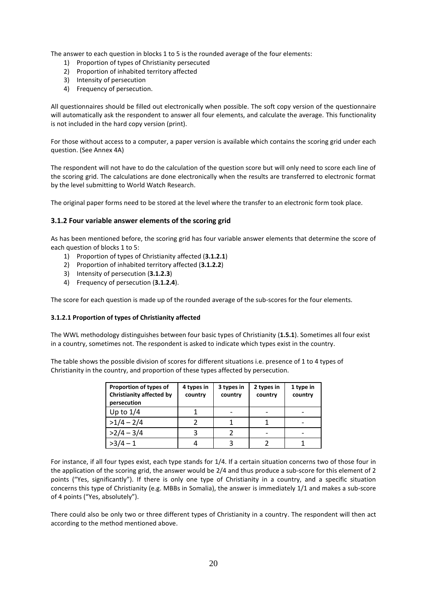The answer to each question in blocks 1 to 5 is the rounded average of the four elements:

- 1) Proportion of types of Christianity persecuted
- 2) Proportion of inhabited territory affected
- 3) Intensity of persecution
- 4) Frequency of persecution.

All questionnaires should be filled out electronically when possible. The soft copy version of the questionnaire will automatically ask the respondent to answer all four elements, and calculate the average. This functionality is not included in the hard copy version (print).

For those without access to a computer, a paper version is available which contains the scoring grid under each question. (See Annex 4A)

The respondent will not have to do the calculation of the question score but will only need to score each line of the scoring grid. The calculations are done electronically when the results are transferred to electronic format by the level submitting to World Watch Research.

The original paper forms need to be stored at the level where the transfer to an electronic form took place.

# **3.1.2 Four variable answer elements of the scoring grid**

As has been mentioned before, the scoring grid has four variable answer elements that determine the score of each question of blocks 1 to 5:

- 1) Proportion of types of Christianity affected (**3.1.2.1**)
- 2) Proportion of inhabited territory affected (**3.1.2.2**)
- 3) Intensity of persecution (**3.1.2.3**)
- 4) Frequency of persecution (**3.1.2.4**).

The score for each question is made up of the rounded average of the sub-scores for the four elements.

## **3.1.2.1 Proportion of types of Christianity affected**

The WWL methodology distinguishes between four basic types of Christianity (**1.5.1**). Sometimes all four exist in a country, sometimes not. The respondent is asked to indicate which types exist in the country.

The table shows the possible division of scores for different situations i.e. presence of 1 to 4 types of Christianity in the country, and proportion of these types affected by persecution.

| Proportion of types of<br><b>Christianity affected by</b><br>persecution | 4 types in<br>country | 3 types in<br>country | 2 types in<br>country | 1 type in<br>country |
|--------------------------------------------------------------------------|-----------------------|-----------------------|-----------------------|----------------------|
| Up to $1/4$                                                              |                       |                       |                       |                      |
| $>1/4 - 2/4$                                                             |                       |                       |                       |                      |
| $>2/4 - 3/4$                                                             |                       |                       |                       |                      |
|                                                                          |                       |                       |                       |                      |

For instance, if all four types exist, each type stands for 1/4. If a certain situation concerns two of those four in the application of the scoring grid, the answer would be 2/4 and thus produce a sub-score for this element of 2 points ("Yes, significantly"). If there is only one type of Christianity in a country, and a specific situation concerns this type of Christianity (e.g. MBBs in Somalia), the answer is immediately 1/1 and makes a sub-score of 4 points ("Yes, absolutely").

There could also be only two or three different types of Christianity in a country. The respondent will then act according to the method mentioned above.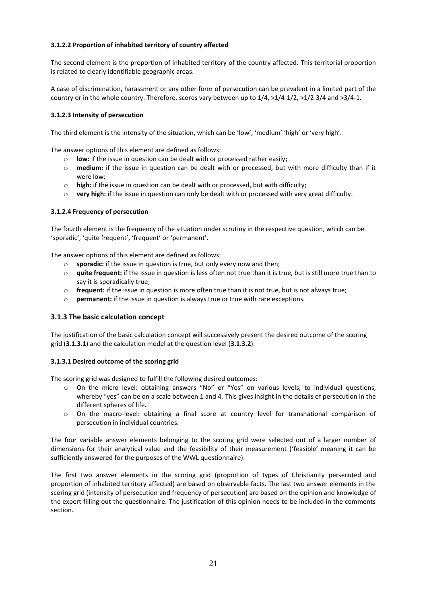# **3.1.2.2 Proportion of inhabited territory of country affected**

The second element is the proportion of inhabited territory of the country affected. This territorial proportion is related to clearly identifiable geographic areas.

A case of discrimination, harassment or any other form of persecution can be prevalent in a limited part of the country or in the whole country. Therefore, scores vary between up to 1/4, >1/4-1/2, >1/2-3/4 and >3/4-1.

# **3.1.2.3 Intensity of persecution**

The third element is the intensity of the situation, which can be 'low', 'medium' 'high' or 'very high'.

The answer options of this element are defined as follows:

- o **low:** if the issue in question can be dealt with or processed rather easily;
- o **medium:** if the issue in question can be dealt with or processed, but with more difficulty than if it were low;
- o **high:** if the issue in question can be dealt with or processed, but with difficulty;
- o **very high:** if the issue in question can only be dealt with or processed with very great difficulty.

## **3.1.2.4 Frequency of persecution**

The fourth element is the frequency of the situation under scrutiny in the respective question, which can be 'sporadic', 'quite frequent', 'frequent' or 'permanent'.

The answer options of this element are defined as follows:

- o **sporadic:** if the issue in question is true, but only every now and then;
- o **quite frequent:** if the issue in question is less often not true than it is true, but is still more true than to say it is sporadically true;
- o **frequent:** if the issue in question is more often true than it is not true, but is not always true;
- o **permanent:** if the issue in question is always true or true with rare exceptions.

# **3.1.3 The basic calculation concept**

The justification of the basic calculation concept will successively present the desired outcome of the scoring grid (**3.1.3.1**) and the calculation model at the question level (**3.1.3.2**).

## **3.1.3.1 Desired outcome of the scoring grid**

The scoring grid was designed to fulfill the following desired outcomes:

- o On the micro level: obtaining answers "No" or "Yes" on various levels, to individual questions, whereby "yes" can be on a scale between 1 and 4. This gives insight in the details of persecution in the different spheres of life.
- o On the macro-level: obtaining a final score at country level for transnational comparison of persecution in individual countries.

The four variable answer elements belonging to the scoring grid were selected out of a larger number of dimensions for their analytical value and the feasibility of their measurement ('feasible' meaning it can be sufficiently answered for the purposes of the WWL questionnaire).

The first two answer elements in the scoring grid (proportion of types of Christianity persecuted and proportion of inhabited territory affected) are based on observable facts. The last two answer elements in the scoring grid (intensity of persecution and frequency of persecution) are based on the opinion and knowledge of the expert filling out the questionnaire. The justification of this opinion needs to be included in the comments section.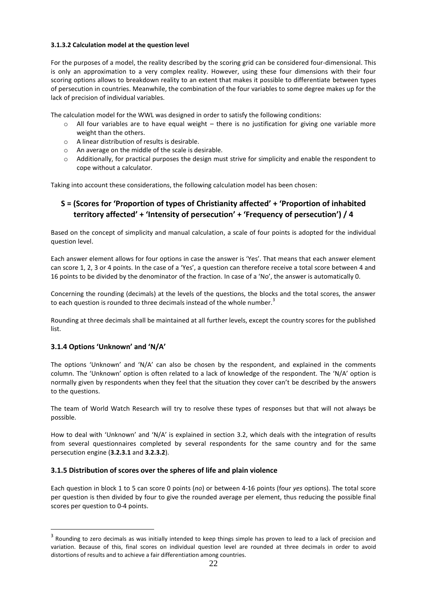## **3.1.3.2 Calculation model at the question level**

For the purposes of a model, the reality described by the scoring grid can be considered four-dimensional. This is only an approximation to a very complex reality. However, using these four dimensions with their four scoring options allows to breakdown reality to an extent that makes it possible to differentiate between types of persecution in countries. Meanwhile, the combination of the four variables to some degree makes up for the lack of precision of individual variables.

The calculation model for the WWL was designed in order to satisfy the following conditions:

- $\circ$  All four variables are to have equal weight there is no justification for giving one variable more weight than the others.
- o A linear distribution of results is desirable.
- o An average on the middle of the scale is desirable.
- $\circ$  Additionally, for practical purposes the design must strive for simplicity and enable the respondent to cope without a calculator.

Taking into account these considerations, the following calculation model has been chosen:

# **S = (Scores for 'Proportion of types of Christianity affected' + 'Proportion of inhabited territory affected' + 'Intensity of persecution' + 'Frequency of persecution') / 4**

Based on the concept of simplicity and manual calculation, a scale of four points is adopted for the individual question level.

Each answer element allows for four options in case the answer is 'Yes'. That means that each answer element can score 1, 2, 3 or 4 points. In the case of a 'Yes', a question can therefore receive a total score between 4 and 16 points to be divided by the denominator of the fraction. In case of a 'No', the answer is automatically 0.

Concerning the rounding (decimals) at the levels of the questions, the blocks and the total scores, the answer to each question is rounded to three decimals instead of the whole number.<sup>3</sup>

Rounding at three decimals shall be maintained at all further levels, except the country scores for the published list.

# **3.1.4 Options 'Unknown' and 'N/A'**

 $\overline{a}$ 

The options 'Unknown' and 'N/A' can also be chosen by the respondent, and explained in the comments column. The 'Unknown' option is often related to a lack of knowledge of the respondent. The 'N/A' option is normally given by respondents when they feel that the situation they cover can't be described by the answers to the questions.

The team of World Watch Research will try to resolve these types of responses but that will not always be possible.

How to deal with 'Unknown' and 'N/A' is explained in section 3.2, which deals with the integration of results from several questionnaires completed by several respondents for the same country and for the same persecution engine (**3.2.3.1** and **3.2.3.2**).

# **3.1.5 Distribution of scores over the spheres of life and plain violence**

Each question in block 1 to 5 can score 0 points (*no*) or between 4-16 points (four *yes* options). The total score per question is then divided by four to give the rounded average per element, thus reducing the possible final scores per question to 0-4 points.

 $^3$  Rounding to zero decimals as was initially intended to keep things simple has proven to lead to a lack of precision and variation. Because of this, final scores on individual question level are rounded at three decimals in order to avoid distortions of results and to achieve a fair differentiation among countries.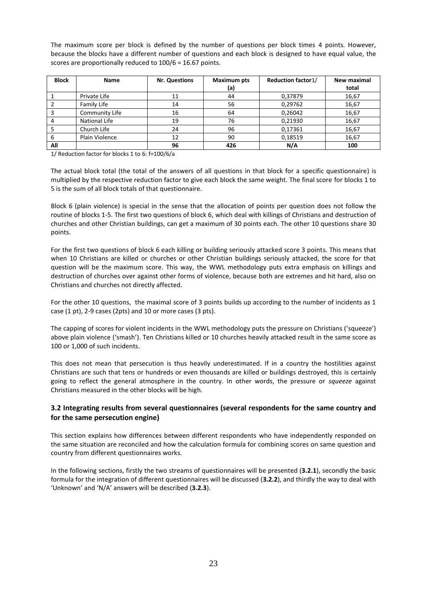The maximum score per block is defined by the number of questions per block times 4 points. However, because the blocks have a different number of questions and each block is designed to have equal value, the scores are proportionally reduced to 100/6 = 16.67 points.

| <b>Block</b> | <b>Name</b>          | <b>Nr. Questions</b> | <b>Maximum pts</b> | <b>Reduction factor1/</b> | New maximal |
|--------------|----------------------|----------------------|--------------------|---------------------------|-------------|
|              |                      |                      | (a)                |                           | total       |
|              | Private Life         | 11                   | 44                 | 0,37879                   | 16,67       |
|              | Family Life          | 14                   | 56                 | 0,29762                   | 16,67       |
|              | Community Life       | 16                   | 64                 | 0.26042                   | 16,67       |
|              | <b>National Life</b> | 19                   | 76                 | 0,21930                   | 16,67       |
|              | Church Life          | 24                   | 96                 | 0,17361                   | 16,67       |
| 6            | Plain Violence       | 12                   | 90                 | 0,18519                   | 16,67       |
| All          |                      | 96                   | 426                | N/A                       | 100         |

1/ Reduction factor for blocks 1 to 6: f=100/6/a

The actual block total (the total of the answers of all questions in that block for a specific questionnaire) is multiplied by the respective reduction factor to give each block the same weight. The final score for blocks 1 to 5 is the sum of all block totals of that questionnaire.

Block 6 (plain violence) is special in the sense that the allocation of points per question does not follow the routine of blocks 1-5. The first two questions of block 6, which deal with killings of Christians and destruction of churches and other Christian buildings, can get a maximum of 30 points each. The other 10 questions share 30 points.

For the first two questions of block 6 each killing or building seriously attacked score 3 points. This means that when 10 Christians are killed or churches or other Christian buildings seriously attacked, the score for that question will be the maximum score. This way, the WWL methodology puts extra emphasis on killings and destruction of churches over against other forms of violence, because both are extremes and hit hard, also on Christians and churches not directly affected.

For the other 10 questions, the maximal score of 3 points builds up according to the number of incidents as 1 case (1 pt), 2-9 cases (2pts) and 10 or more cases (3 pts).

The capping of scores for violent incidents in the WWL methodology puts the pressure on Christians ('squeeze') above plain violence ('smash'). Ten Christians killed or 10 churches heavily attacked result in the same score as 100 or 1,000 of such incidents.

This does not mean that persecution is thus heavily underestimated. If in a country the hostilities against Christians are such that tens or hundreds or even thousands are killed or buildings destroyed, this is certainly going to reflect the general atmosphere in the country. In other words, the pressure or *squeeze* against Christians measured in the other blocks will be high.

# **3.2 Integrating results from several questionnaires (several respondents for the same country and for the same persecution engine)**

This section explains how differences between different respondents who have independently responded on the same situation are reconciled and how the calculation formula for combining scores on same question and country from different questionnaires works.

In the following sections, firstly the two streams of questionnaires will be presented (**3.2.1**), secondly the basic formula for the integration of different questionnaires will be discussed (**3.2.2**), and thirdly the way to deal with 'Unknown' and 'N/A' answers will be described (**3.2.3**).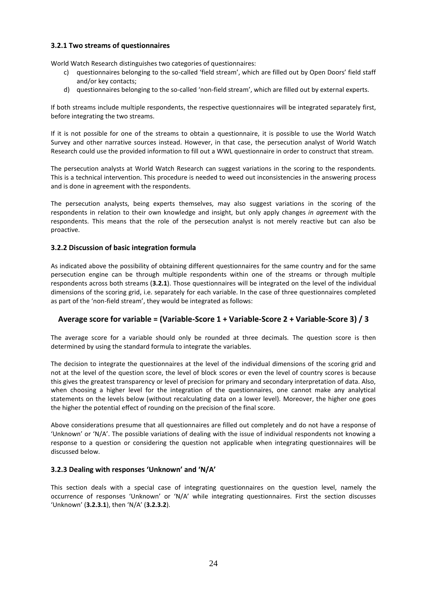# **3.2.1 Two streams of questionnaires**

World Watch Research distinguishes two categories of questionnaires:

- c) questionnaires belonging to the so-called 'field stream', which are filled out by Open Doors' field staff and/or key contacts;
- d) questionnaires belonging to the so-called 'non-field stream', which are filled out by external experts.

If both streams include multiple respondents, the respective questionnaires will be integrated separately first, before integrating the two streams.

If it is not possible for one of the streams to obtain a questionnaire, it is possible to use the World Watch Survey and other narrative sources instead. However, in that case, the persecution analyst of World Watch Research could use the provided information to fill out a WWL questionnaire in order to construct that stream.

The persecution analysts at World Watch Research can suggest variations in the scoring to the respondents. This is a technical intervention. This procedure is needed to weed out inconsistencies in the answering process and is done in agreement with the respondents.

The persecution analysts, being experts themselves, may also suggest variations in the scoring of the respondents in relation to their own knowledge and insight, but only apply changes *in agreement* with the respondents. This means that the role of the persecution analyst is not merely reactive but can also be proactive.

# **3.2.2 Discussion of basic integration formula**

As indicated above the possibility of obtaining different questionnaires for the same country and for the same persecution engine can be through multiple respondents within one of the streams or through multiple respondents across both streams (**3.2.1**). Those questionnaires will be integrated on the level of the individual dimensions of the scoring grid, i.e. separately for each variable. In the case of three questionnaires completed as part of the 'non-field stream', they would be integrated as follows:

# **Average score for variable = (Variable-Score 1 + Variable-Score 2 + Variable-Score 3) / 3**

The average score for a variable should only be rounded at three decimals. The question score is then determined by using the standard formula to integrate the variables.

The decision to integrate the questionnaires at the level of the individual dimensions of the scoring grid and not at the level of the question score, the level of block scores or even the level of country scores is because this gives the greatest transparency or level of precision for primary and secondary interpretation of data. Also, when choosing a higher level for the integration of the questionnaires, one cannot make any analytical statements on the levels below (without recalculating data on a lower level). Moreover, the higher one goes the higher the potential effect of rounding on the precision of the final score.

Above considerations presume that all questionnaires are filled out completely and do not have a response of 'Unknown' or 'N/A'. The possible variations of dealing with the issue of individual respondents not knowing a response to a question or considering the question not applicable when integrating questionnaires will be discussed below.

# **3.2.3 Dealing with responses 'Unknown' and 'N/A'**

This section deals with a special case of integrating questionnaires on the question level, namely the occurrence of responses 'Unknown' or 'N/A' while integrating questionnaires. First the section discusses 'Unknown' (**3.2.3.1**), then 'N/A' (**3.2.3.2**).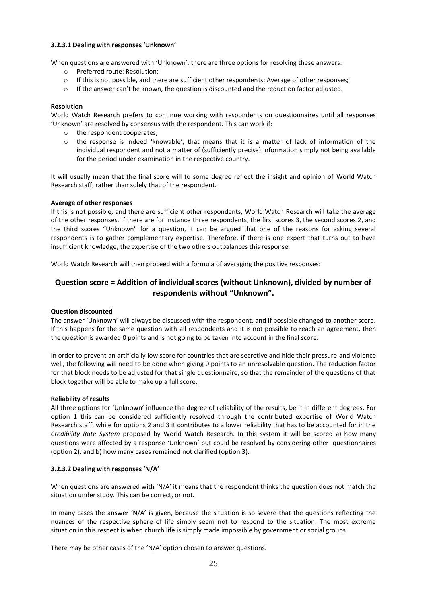#### **3.2.3.1 Dealing with responses 'Unknown'**

When questions are answered with 'Unknown', there are three options for resolving these answers:

- o Preferred route: Resolution;
- o If this is not possible, and there are sufficient other respondents: Average of other responses;
- $\circ$  If the answer can't be known, the question is discounted and the reduction factor adjusted.

### **Resolution**

World Watch Research prefers to continue working with respondents on questionnaires until all responses 'Unknown' are resolved by consensus with the respondent. This can work if:

- o the respondent cooperates;
- o the response is indeed 'knowable', that means that it is a matter of lack of information of the individual respondent and not a matter of (sufficiently precise) information simply not being available for the period under examination in the respective country.

It will usually mean that the final score will to some degree reflect the insight and opinion of World Watch Research staff, rather than solely that of the respondent.

#### **Average of other responses**

If this is not possible, and there are sufficient other respondents, World Watch Research will take the average of the other responses. If there are for instance three respondents, the first scores 3, the second scores 2, and the third scores "Unknown" for a question, it can be argued that one of the reasons for asking several respondents is to gather complementary expertise. Therefore, if there is one expert that turns out to have insufficient knowledge, the expertise of the two others outbalances this response.

World Watch Research will then proceed with a formula of averaging the positive responses:

# **Question score = Addition of individual scores (without Unknown), divided by number of respondents without "Unknown".**

## **Question discounted**

The answer 'Unknown' will always be discussed with the respondent, and if possible changed to another score. If this happens for the same question with all respondents and it is not possible to reach an agreement, then the question is awarded 0 points and is not going to be taken into account in the final score.

In order to prevent an artificially low score for countries that are secretive and hide their pressure and violence well, the following will need to be done when giving 0 points to an unresolvable question. The reduction factor for that block needs to be adjusted for that single questionnaire, so that the remainder of the questions of that block together will be able to make up a full score.

#### **Reliability of results**

All three options for 'Unknown' influence the degree of reliability of the results, be it in different degrees. For option 1 this can be considered sufficiently resolved through the contributed expertise of World Watch Research staff, while for options 2 and 3 it contributes to a lower reliability that has to be accounted for in the *Credibility Rate System* proposed by World Watch Research. In this system it will be scored a) how many questions were affected by a response 'Unknown' but could be resolved by considering other questionnaires (option 2); and b) how many cases remained not clarified (option 3).

## **3.2.3.2 Dealing with responses 'N/A'**

When questions are answered with 'N/A' it means that the respondent thinks the question does not match the situation under study. This can be correct, or not.

In many cases the answer 'N/A' is given, because the situation is so severe that the questions reflecting the nuances of the respective sphere of life simply seem not to respond to the situation. The most extreme situation in this respect is when church life is simply made impossible by government or social groups.

There may be other cases of the 'N/A' option chosen to answer questions.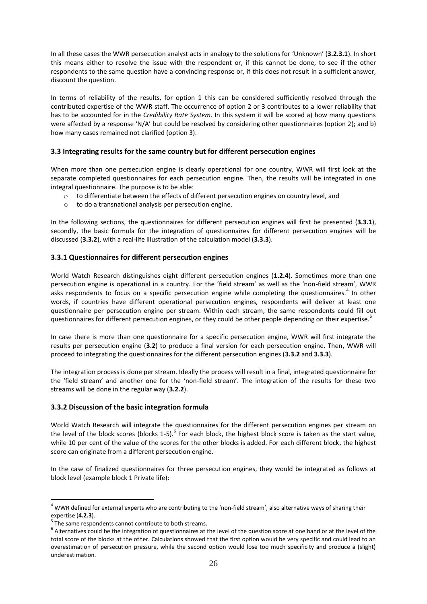In all these cases the WWR persecution analyst acts in analogy to the solutions for 'Unknown' (**3.2.3.1**). In short this means either to resolve the issue with the respondent or, if this cannot be done, to see if the other respondents to the same question have a convincing response or, if this does not result in a sufficient answer, discount the question.

In terms of reliability of the results, for option 1 this can be considered sufficiently resolved through the contributed expertise of the WWR staff. The occurrence of option 2 or 3 contributes to a lower reliability that has to be accounted for in the *Credibility Rate System*. In this system it will be scored a) how many questions were affected by a response 'N/A' but could be resolved by considering other questionnaires (option 2); and b) how many cases remained not clarified (option 3).

# **3.3 Integrating results for the same country but for different persecution engines**

When more than one persecution engine is clearly operational for one country, WWR will first look at the separate completed questionnaires for each persecution engine. Then, the results will be integrated in one integral questionnaire. The purpose is to be able:

- $\circ$  to differentiate between the effects of different persecution engines on country level, and
- o to do a transnational analysis per persecution engine.

In the following sections, the questionnaires for different persecution engines will first be presented (**3.3.1**), secondly, the basic formula for the integration of questionnaires for different persecution engines will be discussed (**3.3.2**), with a real-life illustration of the calculation model (**3.3.3**).

# **3.3.1 Questionnaires for different persecution engines**

World Watch Research distinguishes eight different persecution engines (**1.2.4**). Sometimes more than one persecution engine is operational in a country. For the 'field stream' as well as the 'non-field stream', WWR asks respondents to focus on a specific persecution engine while completing the questionnaires.<sup>4</sup> In other words, if countries have different operational persecution engines, respondents will deliver at least one questionnaire per persecution engine per stream. Within each stream, the same respondents could fill out questionnaires for different persecution engines, or they could be other people depending on their expertise.<sup>5</sup>

In case there is more than one questionnaire for a specific persecution engine, WWR will first integrate the results per persecution engine (**3.2**) to produce a final version for each persecution engine. Then, WWR will proceed to integrating the questionnaires for the different persecution engines (**3.3.2** and **3.3.3**).

The integration process is done per stream. Ideally the process will result in a final, integrated questionnaire for the 'field stream' and another one for the 'non-field stream'. The integration of the results for these two streams will be done in the regular way (**3.2.2**).

# **3.3.2 Discussion of the basic integration formula**

World Watch Research will integrate the questionnaires for the different persecution engines per stream on the level of the block scores (blocks 1-5). $^6$  For each block, the highest block score is taken as the start value, while 10 per cent of the value of the scores for the other blocks is added. For each different block, the highest score can originate from a different persecution engine.

In the case of finalized questionnaires for three persecution engines, they would be integrated as follows at block level (example block 1 Private life):

 $\overline{a}$ 

 $4$  WWR defined for external experts who are contributing to the 'non-field stream', also alternative ways of sharing their expertise (**4.2.3**).

<sup>&</sup>lt;sup>5</sup> The same respondents cannot contribute to both streams.

 $^6$  Alternatives could be the integration of questionnaires at the level of the question score at one hand or at the level of the total score of the blocks at the other. Calculations showed that the first option would be very specific and could lead to an overestimation of persecution pressure, while the second option would lose too much specificity and produce a (slight) underestimation.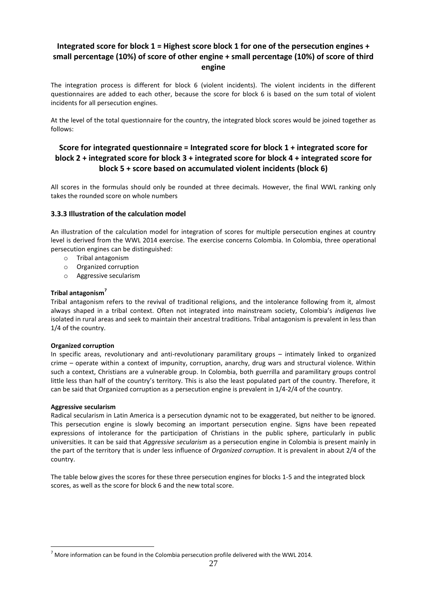# **Integrated score for block 1 = Highest score block 1 for one of the persecution engines + small percentage (10%) of score of other engine + small percentage (10%) of score of third engine**

The integration process is different for block 6 (violent incidents). The violent incidents in the different questionnaires are added to each other, because the score for block 6 is based on the sum total of violent incidents for all persecution engines.

At the level of the total questionnaire for the country, the integrated block scores would be joined together as follows:

# **Score for integrated questionnaire = Integrated score for block 1 + integrated score for block 2 + integrated score for block 3 + integrated score for block 4 + integrated score for block 5 + score based on accumulated violent incidents (block 6)**

All scores in the formulas should only be rounded at three decimals. However, the final WWL ranking only takes the rounded score on whole numbers

# **3.3.3 Illustration of the calculation model**

An illustration of the calculation model for integration of scores for multiple persecution engines at country level is derived from the WWL 2014 exercise. The exercise concerns Colombia. In Colombia, three operational persecution engines can be distinguished:

- o Tribal antagonism
- o Organized corruption
- o Aggressive secularism

## **Tribal antagonism<sup>7</sup>**

Tribal antagonism refers to the revival of traditional religions, and the intolerance following from it, almost always shaped in a tribal context. Often not integrated into mainstream society, Colombia's *indigenas* live isolated in rural areas and seek to maintain their ancestral traditions. Tribal antagonism is prevalent in less than 1/4 of the country.

## **Organized corruption**

In specific areas, revolutionary and anti-revolutionary paramilitary groups – intimately linked to organized crime – operate within a context of impunity, corruption, anarchy, drug wars and structural violence. Within such a context, Christians are a vulnerable group. In Colombia, both guerrilla and paramilitary groups control little less than half of the country's territory. This is also the least populated part of the country. Therefore, it can be said that Organized corruption as a persecution engine is prevalent in 1/4-2/4 of the country.

## **Aggressive secularism**

 $\overline{a}$ 

Radical secularism in Latin America is a persecution dynamic not to be exaggerated, but neither to be ignored. This persecution engine is slowly becoming an important persecution engine. Signs have been repeated expressions of intolerance for the participation of Christians in the public sphere, particularly in public universities. It can be said that *Aggressive secularism* as a persecution engine in Colombia is present mainly in the part of the territory that is under less influence of *Organized corruption*. It is prevalent in about 2/4 of the country.

The table below gives the scores for these three persecution engines for blocks 1-5 and the integrated block scores, as well as the score for block 6 and the new total score.

 $<sup>7</sup>$  More information can be found in the Colombia persecution profile delivered with the WWL 2014.</sup>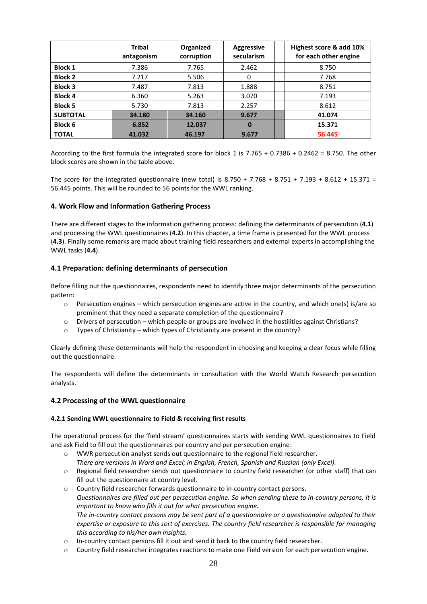|                 | <b>Tribal</b><br>antagonism | Organized<br>corruption | <b>Aggressive</b><br>secularism | Highest score & add 10%<br>for each other engine |
|-----------------|-----------------------------|-------------------------|---------------------------------|--------------------------------------------------|
| <b>Block 1</b>  | 7.386                       | 7.765                   | 2.462                           | 8.750                                            |
| <b>Block 2</b>  | 7.217                       | 5.506                   | 0                               | 7.768                                            |
| <b>Block 3</b>  | 7.487                       | 7.813                   | 1.888                           | 8.751                                            |
| <b>Block 4</b>  | 6.360                       | 5.263                   | 3.070                           | 7.193                                            |
| <b>Block 5</b>  | 5.730                       | 7.813                   | 2.257                           | 8.612                                            |
| <b>SUBTOTAL</b> | 34.180                      | 34.160                  | 9.677                           | 41.074                                           |
| <b>Block 6</b>  | 6.852                       | 12.037                  | $\bf{0}$                        | 15.371                                           |
| <b>TOTAL</b>    | 41.032                      | 46.197                  | 9.677                           | 56.445                                           |

According to the first formula the integrated score for block 1 is 7.765 + 0.7386 + 0.2462 = 8.750. The other block scores are shown in the table above.

The score for the integrated questionnaire (new total) is  $8.750 + 7.768 + 8.751 + 7.193 + 8.612 + 15.371 =$ 56.445 points. This will be rounded to 56 points for the WWL ranking.

# **4. Work Flow and Information Gathering Process**

There are different stages to the information gathering process: defining the determinants of persecution (**4.1**) and processing the WWL questionnaires (**4.2**). In this chapter, a time frame is presented for the WWL process (**4.3**). Finally some remarks are made about training field researchers and external experts in accomplishing the WWL tasks (**4.4**).

# **4.1 Preparation: defining determinants of persecution**

Before filling out the questionnaires, respondents need to identify three major determinants of the persecution pattern:

- $\circ$  Persecution engines which persecution engines are active in the country, and which one(s) is/are so prominent that they need a separate completion of the questionnaire?
- o Drivers of persecution which people or groups are involved in the hostilities against Christians?
- o Types of Christianity which types of Christianity are present in the country?

Clearly defining these determinants will help the respondent in choosing and keeping a clear focus while filling out the questionnaire.

The respondents will define the determinants in consultation with the World Watch Research persecution analysts.

## **4.2 Processing of the WWL questionnaire**

## **4.2.1 Sending WWL questionnaire to Field & receiving first results**

The operational process for the 'field stream' questionnaires starts with sending WWL questionnaires to Field and ask Field to fill out the questionnaires per country and per persecution engine:

- o WWR persecution analyst sends out questionnaire to the regional field researcher. *There are versions in Word and Excel; in English, French, Spanish and Russian (only Excel).*
- o Regional field researcher sends out questionnaire to country field researcher (or other staff) that can fill out the questionnaire at country level.
- o Country field researcher forwards questionnaire to in-country contact persons. *Questionnaires are filled out per persecution engine. So when sending these to in-country persons, it is important to know who fills it out for what persecution engine. The in-country contact persons may be sent part of a questionnaire or a questionnaire adapted to their expertise or exposure to this sort of exercises. The country field researcher is responsible for managing this according to his/her own insights.*
- o In-country contact persons fill it out and send it back to the country field researcher.
- o Country field researcher integrates reactions to make one Field version for each persecution engine.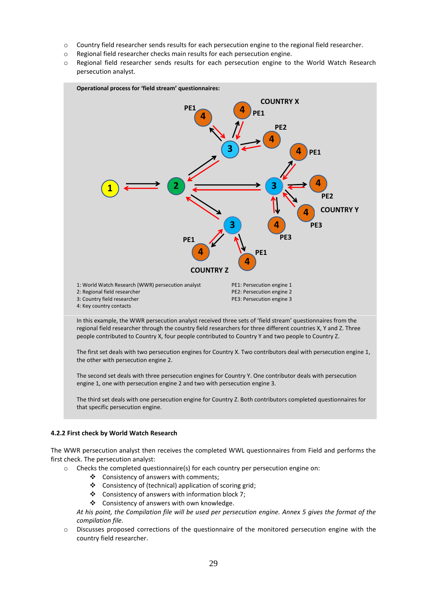- o Country field researcher sends results for each persecution engine to the regional field researcher.
- o Regional field researcher checks main results for each persecution engine.
- o Regional field researcher sends results for each persecution engine to the World Watch Research persecution analyst.



In this example, the WWR persecution analyst received three sets of 'field stream' questionnaires from the regional field researcher through the country field researchers for three different countries X, Y and Z. Three people contributed to Country X, four people contributed to Country Y and two people to Country Z.

The first set deals with two persecution engines for Country X. Two contributors deal with persecution engine 1, the other with persecution engine 2.

The second set deals with three persecution engines for Country Y. One contributor deals with persecution engine 1, one with persecution engine 2 and two with persecution engine 3.

The third set deals with one persecution engine for Country Z. Both contributors completed questionnaires for that specific persecution engine.

## **4.2.2 First check by World Watch Research**

The WWR persecution analyst then receives the completed WWL questionnaires from Field and performs the first check. The persecution analyst:

- o Checks the completed questionnaire(s) for each country per persecution engine on:
	- Consistency of answers with comments;
	- Consistency of (technical) application of scoring grid;
	- $\triangleleft$  Consistency of answers with information block 7;
	- ❖ Consistency of answers with own knowledge.

*At his point, the Compilation file will be used per persecution engine. Annex 5 gives the format of the compilation file.*

o Discusses proposed corrections of the questionnaire of the monitored persecution engine with the country field researcher.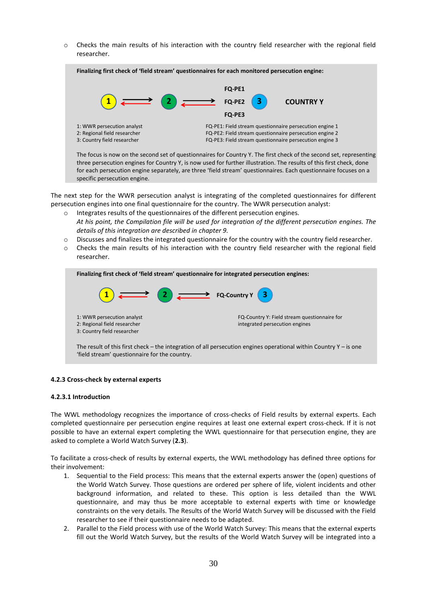$\circ$  Checks the main results of his interaction with the country field researcher with the regional field researcher.



three persecution engines for Country Y, is now used for further illustration. The results of this first check, done for each persecution engine separately, are three 'field stream' questionnaires. Each questionnaire focuses on a specific persecution engine.

The next step for the WWR persecution analyst is integrating of the completed questionnaires for different persecution engines into one final questionnaire for the country. The WWR persecution analyst:

- o Integrates results of the questionnaires of the different persecution engines. *At his point, the Compilation file will be used for integration of the different persecution engines. The details of this integration are described in chapter 9.*
- o Discusses and finalizes the integrated questionnaire for the country with the country field researcher.
- o Checks the main results of his interaction with the country field researcher with the regional field researcher.

| Finalizing first check of 'field stream' questionnaire for integrated persecution engines:                                                                                                             |                                                                                |  |  |
|--------------------------------------------------------------------------------------------------------------------------------------------------------------------------------------------------------|--------------------------------------------------------------------------------|--|--|
| $\left( \begin{array}{ccc} 1 \end{array} \right)$ $\longrightarrow$ $\left( \begin{array}{ccc} 2 \end{array} \right)$ $\longrightarrow$ FQ-Country Y $\left( \begin{array}{ccc} 3 \end{array} \right)$ |                                                                                |  |  |
| 1: WWR persecution analyst<br>2: Regional field researcher<br>3: Country field researcher                                                                                                              | FQ-Country Y: Field stream questionnaire for<br>integrated persecution engines |  |  |
| The result of this first check – the integration of all persecution engines operational within Country $Y -$ is one                                                                                    |                                                                                |  |  |

## **4.2.3 Cross-check by external experts**

'field stream' questionnaire for the country.

#### **4.2.3.1 Introduction**

The WWL methodology recognizes the importance of cross-checks of Field results by external experts. Each completed questionnaire per persecution engine requires at least one external expert cross-check. If it is not possible to have an external expert completing the WWL questionnaire for that persecution engine, they are asked to complete a World Watch Survey (**2.3**).

To facilitate a cross-check of results by external experts, the WWL methodology has defined three options for their involvement:

- 1. Sequential to the Field process: This means that the external experts answer the (open) questions of the World Watch Survey. Those questions are ordered per sphere of life, violent incidents and other background information, and related to these. This option is less detailed than the WWL questionnaire, and may thus be more acceptable to external experts with time or knowledge constraints on the very details. The Results of the World Watch Survey will be discussed with the Field researcher to see if their questionnaire needs to be adapted.
- 2. Parallel to the Field process with use of the World Watch Survey: This means that the external experts fill out the World Watch Survey, but the results of the World Watch Survey will be integrated into a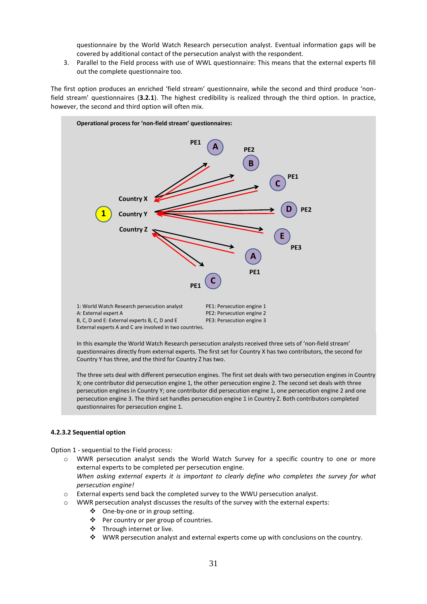questionnaire by the World Watch Research persecution analyst. Eventual information gaps will be covered by additional contact of the persecution analyst with the respondent.

3. Parallel to the Field process with use of WWL questionnaire: This means that the external experts fill out the complete questionnaire too.

The first option produces an enriched 'field stream' questionnaire, while the second and third produce 'nonfield stream' questionnaires (**3.2.1**). The highest credibility is realized through the third option. In practice, however, the second and third option will often mix.



In this example the World Watch Research persecution analysts received three sets of 'non-field stream' questionnaires directly from external experts. The first set for Country X has two contributors, the second for Country Y has three, and the third for Country Z has two.

The three sets deal with different persecution engines. The first set deals with two persecution engines in Country X; one contributor did persecution engine 1, the other persecution engine 2. The second set deals with three persecution engines in Country Y; one contributor did persecution engine 1, one persecution engine 2 and one persecution engine 3. The third set handles persecution engine 1 in Country Z. Both contributors completed questionnaires for persecution engine 1.

## **4.2.3.2 Sequential option**

Option 1 - sequential to the Field process:

- o WWR persecution analyst sends the World Watch Survey for a specific country to one or more external experts to be completed per persecution engine. *When asking external experts it is important to clearly define who completes the survey for what persecution engine!*
- o External experts send back the completed survey to the WWU persecution analyst.
- o WWR persecution analyst discusses the results of the survey with the external experts:
	- One-by-one or in group setting.
	- ❖ Per country or per group of countries.
	- ❖ Through internet or live.
	- WWR persecution analyst and external experts come up with conclusions on the country.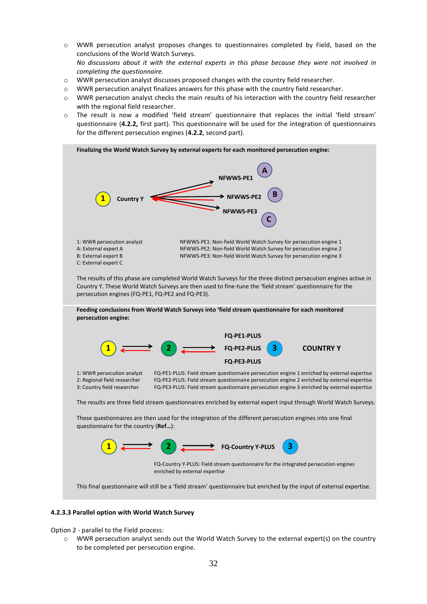- $\circ$  WWR persecution analyst proposes changes to questionnaires completed by Field, based on the conclusions of the World Watch Surveys. *No discussions about it with the external experts in this phase because they were not involved in completing the questionnaire.*
- o WWR persecution analyst discusses proposed changes with the country field researcher.
- o WWR persecution analyst finalizes answers for this phase with the country field researcher.
- o WWR persecution analyst checks the main results of his interaction with the country field researcher with the regional field researcher.
- o The result is now a modified 'field stream' questionnaire that replaces the initial 'field stream' questionnaire (**4.2.2,** first part). This questionnaire will be used for the integration of questionnaires for the different persecution engines (**4.2.2**, second part).



## **4.2.3.3 Parallel option with World Watch Survey**

Option 2 - parallel to the Field process:

o WWR persecution analyst sends out the World Watch Survey to the external expert(s) on the country to be completed per persecution engine.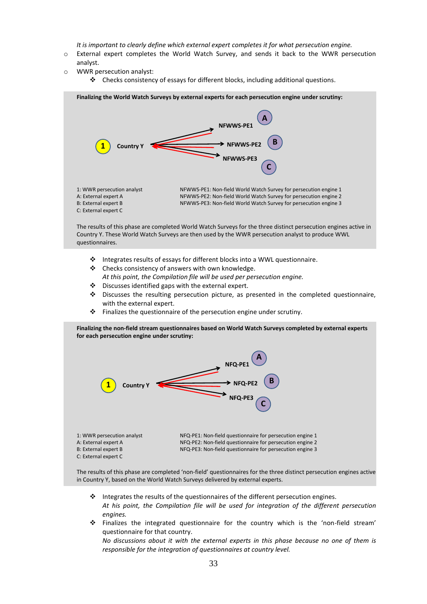*It is important to clearly define which external expert completes it for what persecution engine.*

- o External expert completes the World Watch Survey, and sends it back to the WWR persecution analyst.
- o WWR persecution analyst:
	- Checks consistency of essays for different blocks, including additional questions.



- Integrates results of essays for different blocks into a WWL questionnaire.
- Checks consistency of answers with own knowledge. *At this point, the Compilation file will be used per persecution engine.*
- Discusses identified gaps with the external expert.
- Discusses the resulting persecution picture, as presented in the completed questionnaire, with the external expert.
- $\cdot \cdot$  Finalizes the questionnaire of the persecution engine under scrutiny.

**Finalizing the non-field stream questionnaires based on World Watch Surveys completed by external experts for each persecution engine under scrutiny:**



The results of this phase are completed 'non-field' questionnaires for the three distinct persecution engines active in Country Y, based on the World Watch Surveys delivered by external experts.

- \* Integrates the results of the questionnaires of the different persecution engines. *At his point, the Compilation file will be used for integration of the different persecution engines.*
- Finalizes the integrated questionnaire for the country which is the 'non-field stream' questionnaire for that country.

*No discussions about it with the external experts in this phase because no one of them is responsible for the integration of questionnaires at country level.*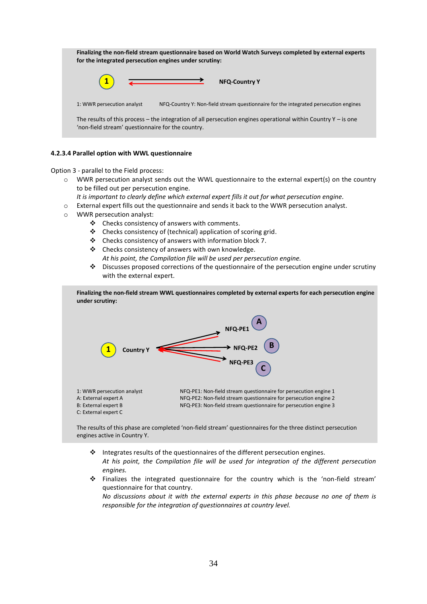| Finalizing the non-field stream questionnaire based on World Watch Surveys completed by external experts<br>for the integrated persecution engines under scrutiny: |                                                                                                                  |  |  |
|--------------------------------------------------------------------------------------------------------------------------------------------------------------------|------------------------------------------------------------------------------------------------------------------|--|--|
|                                                                                                                                                                    | $\overline{\phantom{a}}$<br><b>NFQ-Country Y</b>                                                                 |  |  |
| 1: WWR persecution analyst                                                                                                                                         | NFQ-Country Y: Non-field stream questionnaire for the integrated persecution engines                             |  |  |
| 'non-field stream' questionnaire for the country.                                                                                                                  | The results of this process – the integration of all persecution engines operational within Country $Y -$ is one |  |  |

# **4.2.3.4 Parallel option with WWL questionnaire**

Option 3 - parallel to the Field process:

- $\circ$  WWR persecution analyst sends out the WWL questionnaire to the external expert(s) on the country to be filled out per persecution engine.
	- *It is important to clearly define which external expert fills it out for what persecution engine.*
- o External expert fills out the questionnaire and sends it back to the WWR persecution analyst.
- o WWR persecution analyst:

C: External expert C

- Checks consistency of answers with comments.
- $\triangle$  Checks consistency of (technical) application of scoring grid.
- Checks consistency of answers with information block 7.
- $\triangle$  Checks consistency of answers with own knowledge. *At his point, the Compilation file will be used per persecution engine.*
- Discusses proposed corrections of the questionnaire of the persecution engine under scrutiny with the external expert.

**Finalizing the non-field stream WWL questionnaires completed by external experts for each persecution engine under scrutiny:** 1: WWR persecution analyst NFQ-PE1: Non-field stream questionnaire for persecution engine 1 **1 A C B NFQ-PE1 NFQ-PE2 NFQ-PE3 Country Y**

A: External expert A  $NFA-PE2$ : Non-field stream questionnaire for persecution engine 2<br>B: External expert B  $NFA-PE3$ : Non-field stream questionnaire for persecution engine 3 B: NFQ-PE3: Non-field stream questionnaire for persecution engine 3

The results of this phase are completed 'non-field stream' questionnaires for the three distinct persecution engines active in Country Y.

- $\cdot \cdot$  Integrates results of the questionnaires of the different persecution engines. *At his point, the Compilation file will be used for integration of the different persecution engines.*
- Finalizes the integrated questionnaire for the country which is the 'non-field stream' questionnaire for that country.

*No discussions about it with the external experts in this phase because no one of them is responsible for the integration of questionnaires at country level.*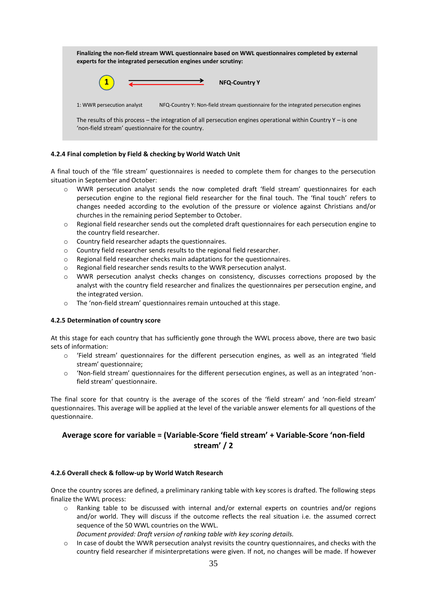| Finalizing the non-field stream WWL questionnaire based on WWL questionnaires completed by external<br>experts for the integrated persecution engines under scrutiny: |  |  |  |
|-----------------------------------------------------------------------------------------------------------------------------------------------------------------------|--|--|--|
| $\overbrace{\hspace{2.5cm}}$<br><b>NFQ-Country Y</b>                                                                                                                  |  |  |  |
| NFQ-Country Y: Non-field stream questionnaire for the integrated persecution engines<br>1: WWR persecution analyst                                                    |  |  |  |
| The results of this process – the integration of all persecution engines operational within Country $Y -$ is one<br>'non-field stream' questionnaire for the country. |  |  |  |

# **4.2.4 Final completion by Field & checking by World Watch Unit**

A final touch of the 'file stream' questionnaires is needed to complete them for changes to the persecution situation in September and October:

- o WWR persecution analyst sends the now completed draft 'field stream' questionnaires for each persecution engine to the regional field researcher for the final touch. The 'final touch' refers to changes needed according to the evolution of the pressure or violence against Christians and/or churches in the remaining period September to October.
- $\circ$  Regional field researcher sends out the completed draft questionnaires for each persecution engine to the country field researcher.
- o Country field researcher adapts the questionnaires.
- o Country field researcher sends results to the regional field researcher.
- o Regional field researcher checks main adaptations for the questionnaires.
- o Regional field researcher sends results to the WWR persecution analyst.
- o WWR persecution analyst checks changes on consistency, discusses corrections proposed by the analyst with the country field researcher and finalizes the questionnaires per persecution engine, and the integrated version.
- o The 'non-field stream' questionnaires remain untouched at this stage.

## **4.2.5 Determination of country score**

At this stage for each country that has sufficiently gone through the WWL process above, there are two basic sets of information:

- o 'Field stream' questionnaires for the different persecution engines, as well as an integrated 'field stream' questionnaire;
- o 'Non-field stream' questionnaires for the different persecution engines, as well as an integrated 'nonfield stream' questionnaire.

The final score for that country is the average of the scores of the 'field stream' and 'non-field stream' questionnaires. This average will be applied at the level of the variable answer elements for all questions of the questionnaire.

# **Average score for variable = (Variable-Score 'field stream' + Variable-Score 'non-field stream' / 2**

## **4.2.6 Overall check & follow-up by World Watch Research**

Once the country scores are defined, a preliminary ranking table with key scores is drafted. The following steps finalize the WWL process:

- o Ranking table to be discussed with internal and/or external experts on countries and/or regions and/or world. They will discuss if the outcome reflects the real situation i.e. the assumed correct sequence of the 50 WWL countries on the WWL.
	- *Document provided: Draft version of ranking table with key scoring details.*
- $\circ$  In case of doubt the WWR persecution analyst revisits the country questionnaires, and checks with the country field researcher if misinterpretations were given. If not, no changes will be made. If however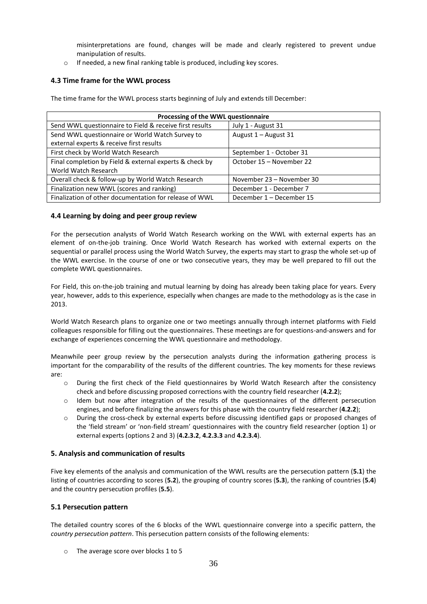misinterpretations are found, changes will be made and clearly registered to prevent undue manipulation of results.

o If needed, a new final ranking table is produced, including key scores.

# **4.3 Time frame for the WWL process**

The time frame for the WWL process starts beginning of July and extends till December:

| Processing of the WWL questionnaire                     |                           |  |  |  |
|---------------------------------------------------------|---------------------------|--|--|--|
| Send WWL questionnaire to Field & receive first results | July 1 - August 31        |  |  |  |
| Send WWL questionnaire or World Watch Survey to         | August 1 - August 31      |  |  |  |
| external experts & receive first results                |                           |  |  |  |
| First check by World Watch Research                     | September 1 - October 31  |  |  |  |
| Final completion by Field & external experts & check by | October 15 – November 22  |  |  |  |
| World Watch Research                                    |                           |  |  |  |
| Overall check & follow-up by World Watch Research       | November 23 – November 30 |  |  |  |
| Finalization new WWL (scores and ranking)               | December 1 - December 7   |  |  |  |
| Finalization of other documentation for release of WWL  | December 1 - December 15  |  |  |  |

# **4.4 Learning by doing and peer group review**

For the persecution analysts of World Watch Research working on the WWL with external experts has an element of on-the-job training. Once World Watch Research has worked with external experts on the sequential or parallel process using the World Watch Survey, the experts may start to grasp the whole set-up of the WWL exercise. In the course of one or two consecutive years, they may be well prepared to fill out the complete WWL questionnaires.

For Field, this on-the-job training and mutual learning by doing has already been taking place for years. Every year, however, adds to this experience, especially when changes are made to the methodology as is the case in 2013.

World Watch Research plans to organize one or two meetings annually through internet platforms with Field colleagues responsible for filling out the questionnaires. These meetings are for questions-and-answers and for exchange of experiences concerning the WWL questionnaire and methodology.

Meanwhile peer group review by the persecution analysts during the information gathering process is important for the comparability of the results of the different countries. The key moments for these reviews are:

- o During the first check of the Field questionnaires by World Watch Research after the consistency check and before discussing proposed corrections with the country field researcher (**4.2.2**);
- o Idem but now after integration of the results of the questionnaires of the different persecution engines, and before finalizing the answers for this phase with the country field researcher (**4.2.2**);
- o During the cross-check by external experts before discussing identified gaps or proposed changes of the 'field stream' or 'non-field stream' questionnaires with the country field researcher (option 1) or external experts (options 2 and 3) (**4.2.3.2**, **4.2.3.3** and **4.2.3.4**).

# **5. Analysis and communication of results**

Five key elements of the analysis and communication of the WWL results are the persecution pattern (**5.1**) the listing of countries according to scores (**5.2**), the grouping of country scores (**5.3**), the ranking of countries (**5.4**) and the country persecution profiles (**5.5**).

# **5.1 Persecution pattern**

The detailed country scores of the 6 blocks of the WWL questionnaire converge into a specific pattern, the *country persecution pattern*. This persecution pattern consists of the following elements:

o The average score over blocks 1 to 5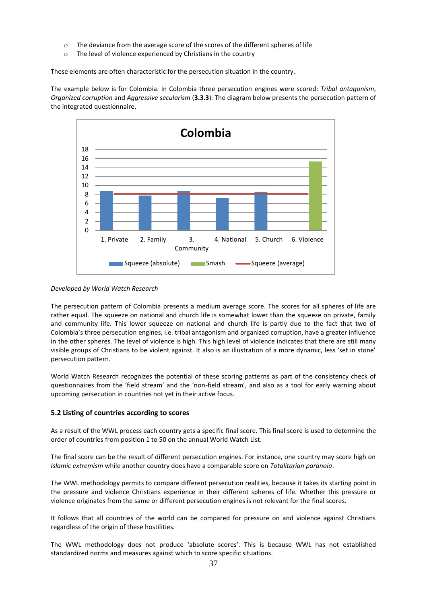- $\circ$  The deviance from the average score of the scores of the different spheres of life
- o The level of violence experienced by Christians in the country

These elements are often characteristic for the persecution situation in the country.

The example below is for Colombia. In Colombia three persecution engines were scored: *Tribal antagonism*, *Organized corruption* and *Aggressive secularism* (**3.3.3**). The diagram below presents the persecution pattern of the integrated questionnaire.



## *Developed by World Watch Research*

The persecution pattern of Colombia presents a medium average score. The scores for all spheres of life are rather equal. The squeeze on national and church life is somewhat lower than the squeeze on private, family and community life. This lower squeeze on national and church life is partly due to the fact that two of Colombia's three persecution engines, i.e. tribal antagonism and organized corruption, have a greater influence in the other spheres. The level of violence is high. This high level of violence indicates that there are still many visible groups of Christians to be violent against. It also is an illustration of a more dynamic, less 'set in stone' persecution pattern.

World Watch Research recognizes the potential of these scoring patterns as part of the consistency check of questionnaires from the 'field stream' and the 'non-field stream', and also as a tool for early warning about upcoming persecution in countries not yet in their active focus.

# **5.2 Listing of countries according to scores**

As a result of the WWL process each country gets a specific final score. This final score is used to determine the order of countries from position 1 to 50 on the annual World Watch List.

The final score can be the result of different persecution engines. For instance, one country may score high on *Islamic extremism* while another country does have a comparable score on *Totalitarian paranoia*.

The WWL methodology permits to compare different persecution realities, because it takes its starting point in the pressure and violence Christians experience in their different spheres of life. Whether this pressure or violence originates from the same or different persecution engines is not relevant for the final scores.

It follows that all countries of the world can be compared for pressure on and violence against Christians regardless of the origin of these hostilities.

The WWL methodology does not produce 'absolute scores'. This is because WWL has not established standardized norms and measures against which to score specific situations.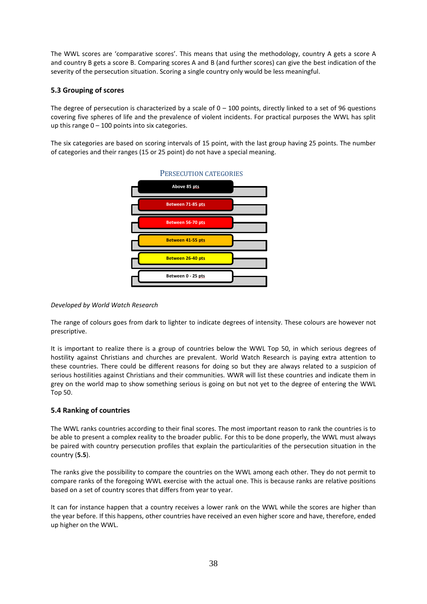The WWL scores are 'comparative scores'. This means that using the methodology, country A gets a score A and country B gets a score B. Comparing scores A and B (and further scores) can give the best indication of the severity of the persecution situation. Scoring a single country only would be less meaningful.

# **5.3 Grouping of scores**

The degree of persecution is characterized by a scale of  $0 - 100$  points, directly linked to a set of 96 questions covering five spheres of life and the prevalence of violent incidents. For practical purposes the WWL has split up this range  $0 - 100$  points into six categories.

The six categories are based on scoring intervals of 15 point, with the last group having 25 points. The number of categories and their ranges (15 or 25 point) do not have a special meaning.



## *Developed by World Watch Research*

The range of colours goes from dark to lighter to indicate degrees of intensity. These colours are however not prescriptive.

It is important to realize there is a group of countries below the WWL Top 50, in which serious degrees of hostility against Christians and churches are prevalent. World Watch Research is paying extra attention to these countries. There could be different reasons for doing so but they are always related to a suspicion of serious hostilities against Christians and their communities. WWR will list these countries and indicate them in grey on the world map to show something serious is going on but not yet to the degree of entering the WWL Top 50.

## **5.4 Ranking of countries**

The WWL ranks countries according to their final scores. The most important reason to rank the countries is to be able to present a complex reality to the broader public. For this to be done properly, the WWL must always be paired with country persecution profiles that explain the particularities of the persecution situation in the country (**5.5**).

The ranks give the possibility to compare the countries on the WWL among each other. They do not permit to compare ranks of the foregoing WWL exercise with the actual one. This is because ranks are relative positions based on a set of country scores that differs from year to year.

It can for instance happen that a country receives a lower rank on the WWL while the scores are higher than the year before. If this happens, other countries have received an even higher score and have, therefore, ended up higher on the WWL.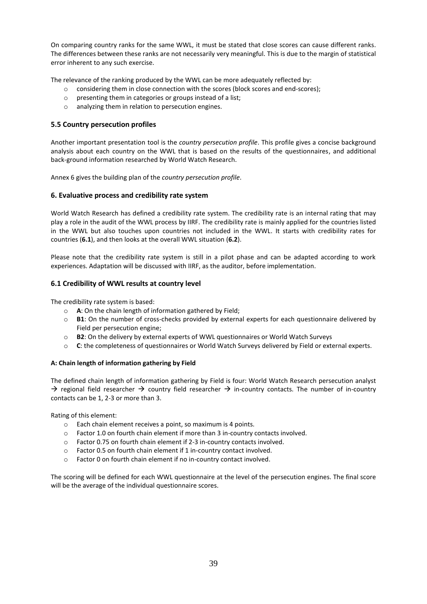On comparing country ranks for the same WWL, it must be stated that close scores can cause different ranks. The differences between these ranks are not necessarily very meaningful. This is due to the margin of statistical error inherent to any such exercise.

The relevance of the ranking produced by the WWL can be more adequately reflected by:

- o considering them in close connection with the scores (block scores and end-scores);
- o presenting them in categories or groups instead of a list;
- o analyzing them in relation to persecution engines.

# **5.5 Country persecution profiles**

Another important presentation tool is the *country persecution profile*. This profile gives a concise background analysis about each country on the WWL that is based on the results of the questionnaires, and additional back-ground information researched by World Watch Research.

Annex 6 gives the building plan of the *country persecution profile*.

## **6. Evaluative process and credibility rate system**

World Watch Research has defined a credibility rate system. The credibility rate is an internal rating that may play a role in the audit of the WWL process by IIRF. The credibility rate is mainly applied for the countries listed in the WWL but also touches upon countries not included in the WWL. It starts with credibility rates for countries (**6.1**), and then looks at the overall WWL situation (**6.2**).

Please note that the credibility rate system is still in a pilot phase and can be adapted according to work experiences. Adaptation will be discussed with IIRF, as the auditor, before implementation.

## **6.1 Credibility of WWL results at country level**

The credibility rate system is based:

- o **A**: On the chain length of information gathered by Field;
- o **B1**: On the number of cross-checks provided by external experts for each questionnaire delivered by Field per persecution engine;
- o **B2**: On the delivery by external experts of WWL questionnaires or World Watch Surveys
- o **C**: the completeness of questionnaires or World Watch Surveys delivered by Field or external experts.

## **A: Chain length of information gathering by Field**

The defined chain length of information gathering by Field is four: World Watch Research persecution analyst  $\rightarrow$  regional field researcher  $\rightarrow$  country field researcher  $\rightarrow$  in-country contacts. The number of in-country contacts can be 1, 2-3 or more than 3.

Rating of this element:

- o Each chain element receives a point, so maximum is 4 points.
- o Factor 1.0 on fourth chain element if more than 3 in-country contacts involved.
- o Factor 0.75 on fourth chain element if 2-3 in-country contacts involved.
- o Factor 0.5 on fourth chain element if 1 in-country contact involved.
- o Factor 0 on fourth chain element if no in-country contact involved.

The scoring will be defined for each WWL questionnaire at the level of the persecution engines. The final score will be the average of the individual questionnaire scores.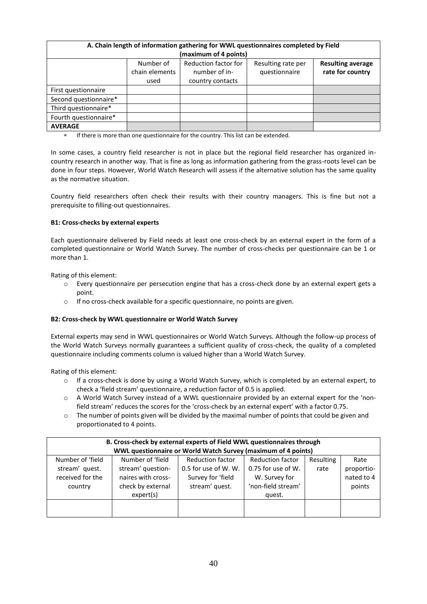| A. Chain length of information gathering for WWL questionnaires completed by Field |                |                       |                    |                          |  |
|------------------------------------------------------------------------------------|----------------|-----------------------|--------------------|--------------------------|--|
|                                                                                    |                | (maximum of 4 points) |                    |                          |  |
|                                                                                    | Number of      | Reduction factor for  | Resulting rate per | <b>Resulting average</b> |  |
|                                                                                    | chain elements | number of in-         | questionnaire      | rate for country         |  |
|                                                                                    | used           | country contacts      |                    |                          |  |
| First questionnaire                                                                |                |                       |                    |                          |  |
| Second questionnaire*                                                              |                |                       |                    |                          |  |
| Third questionnaire*                                                               |                |                       |                    |                          |  |
| Fourth questionnaire*                                                              |                |                       |                    |                          |  |
| <b>AVERAGE</b>                                                                     |                |                       |                    |                          |  |

If there is more than one questionnaire for the country. This list can be extended.

In some cases, a country field researcher is not in place but the regional field researcher has organized incountry research in another way. That is fine as long as information gathering from the grass-roots level can be done in four steps. However, World Watch Research will assess if the alternative solution has the same quality as the normative situation.

Country field researchers often check their results with their country managers. This is fine but not a prerequisite to filling-out questionnaires.

# **B1: Cross-checks by external experts**

Each questionnaire delivered by Field needs at least one cross-check by an external expert in the form of a completed questionnaire or World Watch Survey. The number of cross-checks per questionnaire can be 1 or more than 1.

Rating of this element:

- o Every questionnaire per persecution engine that has a cross-check done by an external expert gets a point.
- o If no cross-check available for a specific questionnaire, no points are given.

## **B2: Cross-check by WWL questionnaire or World Watch Survey**

External experts may send in WWL questionnaires or World Watch Surveys. Although the follow-up process of the World Watch Surveys normally guarantees a sufficient quality of cross-check, the quality of a completed questionnaire including comments column is valued higher than a World Watch Survey.

Rating of this element:

- o If a cross-check is done by using a World Watch Survey, which is completed by an external expert, to check a 'field stream' questionnaire, a reduction factor of 0.5 is applied.
- o A World Watch Survey instead of a WWL questionnaire provided by an external expert for the 'nonfield stream' reduces the scores for the 'cross-check by an external expert' with a factor 0.75.
- $\circ$  The number of points given will be divided by the maximal number of points that could be given and proportionated to 4 points.

| B. Cross-check by external experts of Field WWL questionnaires through |                    |                                                               |                         |           |            |  |
|------------------------------------------------------------------------|--------------------|---------------------------------------------------------------|-------------------------|-----------|------------|--|
|                                                                        |                    | WWL questionnaire or World Watch Survey (maximum of 4 points) |                         |           |            |  |
| Number of 'field                                                       | Number of 'field   | Reduction factor                                              | <b>Reduction factor</b> | Resulting | Rate       |  |
| stream' quest.                                                         | stream' question-  | 0.5 for use of W. W.                                          | 0.75 for use of W.      | rate      | proportio- |  |
| received for the                                                       | naires with cross- | Survey for 'field                                             | W. Survey for           |           | nated to 4 |  |
| country                                                                | check by external  | stream' quest.                                                | 'non-field stream'      |           | points     |  |
|                                                                        | expert(s)          |                                                               | quest.                  |           |            |  |
|                                                                        |                    |                                                               |                         |           |            |  |
|                                                                        |                    |                                                               |                         |           |            |  |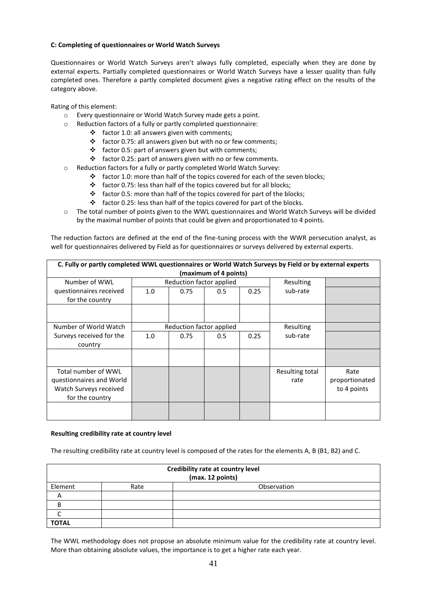# **C: Completing of questionnaires or World Watch Surveys**

Questionnaires or World Watch Surveys aren't always fully completed, especially when they are done by external experts. Partially completed questionnaires or World Watch Surveys have a lesser quality than fully completed ones. Therefore a partly completed document gives a negative rating effect on the results of the category above.

Rating of this element:

- o Every questionnaire or World Watch Survey made gets a point.
- o Reduction factors of a fully or partly completed questionnaire:
	- $\div$  factor 1.0: all answers given with comments;
		- $\cdot \cdot$  factor 0.75: all answers given but with no or few comments;
		- $\div$  factor 0.5: part of answers given but with comments;
	- $\cdot \cdot$  factor 0.25: part of answers given with no or few comments.
- o Reduction factors for a fully or partly completed World Watch Survey:
	- factor 1.0: more than half of the topics covered for each of the seven blocks;
	- $\triangleleft$  factor 0.75: less than half of the topics covered but for all blocks;
	- factor 0.5: more than half of the topics covered for part of the blocks;
	- $\div$  factor 0.25: less than half of the topics covered for part of the blocks.
- o The total number of points given to the WWL questionnaires and World Watch Surveys will be divided by the maximal number of points that could be given and proportionated to 4 points.

The reduction factors are defined at the end of the fine-tuning process with the WWR persecution analyst, as well for questionnaires delivered by Field as for questionnaires or surveys delivered by external experts.

| C. Fully or partly completed WWL questionnaires or World Watch Surveys by Field or by external experts<br>(maximum of 4 points) |     |                          |     |      |                         |                                       |
|---------------------------------------------------------------------------------------------------------------------------------|-----|--------------------------|-----|------|-------------------------|---------------------------------------|
| Number of WWL                                                                                                                   |     | Reduction factor applied |     |      | Resulting               |                                       |
| questionnaires received<br>for the country                                                                                      | 1.0 | 0.75                     | 0.5 | 0.25 | sub-rate                |                                       |
|                                                                                                                                 |     |                          |     |      |                         |                                       |
| Number of World Watch                                                                                                           |     | Reduction factor applied |     |      | Resulting               |                                       |
| Surveys received for the<br>country                                                                                             | 1.0 | 0.75                     | 0.5 | 0.25 | sub-rate                |                                       |
|                                                                                                                                 |     |                          |     |      |                         |                                       |
| Total number of WWL<br>questionnaires and World<br>Watch Surveys received<br>for the country                                    |     |                          |     |      | Resulting total<br>rate | Rate<br>proportionated<br>to 4 points |
|                                                                                                                                 |     |                          |     |      |                         |                                       |

## **Resulting credibility rate at country level**

The resulting credibility rate at country level is composed of the rates for the elements A, B (B1, B2) and C.

| Credibility rate at country level<br>(max. 12 points) |      |             |  |
|-------------------------------------------------------|------|-------------|--|
| Element                                               | Rate | Observation |  |
| A                                                     |      |             |  |
| B                                                     |      |             |  |
|                                                       |      |             |  |
| <b>TOTAL</b>                                          |      |             |  |

The WWL methodology does not propose an absolute minimum value for the credibility rate at country level. More than obtaining absolute values, the importance is to get a higher rate each year.